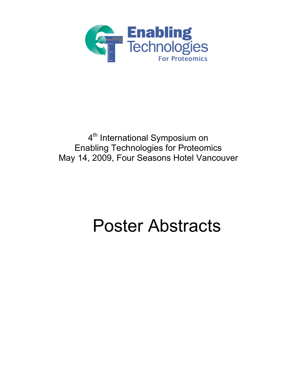

# 4<sup>th</sup> International Symposium on Enabling Technologies for Proteomics May 14, 2009, Four Seasons Hotel Vancouver

# Poster Abstracts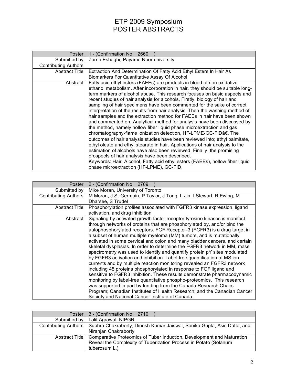| Poster                      | 1 - (Confirmation No. 2660                                                                                                                                                                                                                                                                                                                                                                                                                                                                                                                                                                                                                                                                                                                                                                                                                                                                                                                                                                                                                                                                                                                                                                                 |
|-----------------------------|------------------------------------------------------------------------------------------------------------------------------------------------------------------------------------------------------------------------------------------------------------------------------------------------------------------------------------------------------------------------------------------------------------------------------------------------------------------------------------------------------------------------------------------------------------------------------------------------------------------------------------------------------------------------------------------------------------------------------------------------------------------------------------------------------------------------------------------------------------------------------------------------------------------------------------------------------------------------------------------------------------------------------------------------------------------------------------------------------------------------------------------------------------------------------------------------------------|
| Submitted by                | Zarrin Eshaghi, Payame Noor university                                                                                                                                                                                                                                                                                                                                                                                                                                                                                                                                                                                                                                                                                                                                                                                                                                                                                                                                                                                                                                                                                                                                                                     |
| <b>Contributing Authors</b> |                                                                                                                                                                                                                                                                                                                                                                                                                                                                                                                                                                                                                                                                                                                                                                                                                                                                                                                                                                                                                                                                                                                                                                                                            |
| <b>Abstract Title</b>       | Extraction And Determination Of Fatty Acid Ethyl Esters In Hair As                                                                                                                                                                                                                                                                                                                                                                                                                                                                                                                                                                                                                                                                                                                                                                                                                                                                                                                                                                                                                                                                                                                                         |
|                             | Biomarkers For Quantitative Assay Of Alcohol                                                                                                                                                                                                                                                                                                                                                                                                                                                                                                                                                                                                                                                                                                                                                                                                                                                                                                                                                                                                                                                                                                                                                               |
| Abstract                    | Fatty acid ethyl esters (FAEEs) are products in blood of non-oxidative<br>ethanol metabolism. After incorporation in hair, they should be suitable long-<br>term markers of alcohol abuse. This research focuses on basic aspects and<br>recent studies of hair analysis for alcohols. Firstly, biology of hair and<br>sampling of hair specimens have been commented for the sake of correct<br>interpretation of the results from hair analysis. Then the washing method of<br>hair samples and the extraction method for FAEEs in hair have been shown<br>and commented on. Analytical method for analysis have been discussed by<br>the method, namely hollow fiber liquid phase microextraction and gas<br>chromatography-flame ionization detection, HF-LPME-GC-FIDâ€. The<br>outcomes of hair analysis studies have been reviewed into; ethyl palmitate,<br>ethyl oleate and ethyl stearate in hair. Applications of hair analysis to the<br>estimation of alcohols have also been reviewed. Finally, the promising<br>prospects of hair analysis have been described.<br>Keywords: Hair, Alcohol, Fatty acid ethyl esters (FAEEs), hollow fiber liquid<br>phase microextraction (HF-LPME), GC-FID. |

| 2 - (Confirmation No. 2709                                                                                                                                                                                                                                                                                                                                                                                                                                                                                                                                                                                                                                                                                                                                                                                                                                                                                                                                                                                                                                                                                                             |
|----------------------------------------------------------------------------------------------------------------------------------------------------------------------------------------------------------------------------------------------------------------------------------------------------------------------------------------------------------------------------------------------------------------------------------------------------------------------------------------------------------------------------------------------------------------------------------------------------------------------------------------------------------------------------------------------------------------------------------------------------------------------------------------------------------------------------------------------------------------------------------------------------------------------------------------------------------------------------------------------------------------------------------------------------------------------------------------------------------------------------------------|
| Mike Moran, University of Toronto                                                                                                                                                                                                                                                                                                                                                                                                                                                                                                                                                                                                                                                                                                                                                                                                                                                                                                                                                                                                                                                                                                      |
| M Moran, J St-Germain, P Taylor, J Tong, L Jin, I Stewart, R Ewing, M                                                                                                                                                                                                                                                                                                                                                                                                                                                                                                                                                                                                                                                                                                                                                                                                                                                                                                                                                                                                                                                                  |
| Dharsee, S Trudel                                                                                                                                                                                                                                                                                                                                                                                                                                                                                                                                                                                                                                                                                                                                                                                                                                                                                                                                                                                                                                                                                                                      |
| Phosphorylation profiles associated with FGFR3 kinase expression, ligand                                                                                                                                                                                                                                                                                                                                                                                                                                                                                                                                                                                                                                                                                                                                                                                                                                                                                                                                                                                                                                                               |
| activation, and drug inhibition                                                                                                                                                                                                                                                                                                                                                                                                                                                                                                                                                                                                                                                                                                                                                                                                                                                                                                                                                                                                                                                                                                        |
| Signaling by activated growth factor receptor tyrosine kinases is manifest<br>through networks of proteins that are phosphorylated by, and/or bind the<br>autophosphorylated receptors. FGF Receptor-3 (FGFR3) is a drug target in<br>a subset of human multiple myeloma (MM) tumors, and is mutationally<br>activated in some cervical and colon and many bladder cancers, and certain<br>skeletal dysplasias. In order to determine the FGFR3 network in MM, mass<br>spectrometry was used to identify and quantify protein pY sites modulated<br>by FGFR3 activation and inhibition. Label-free quantification of MS ion<br>currents and by multiple reaction monitoring revealed an FGFR3 network<br>including 45 proteins phosphorylated in response to FGF ligand and<br>sensitive to FGFR3 inhibition. These results demonstrate pharmacodynamic<br>monitoring by label-free quantitative phospho-proteomics. This research<br>was supported in part by funding from the Canada Research Chairs<br>Program; Canadian Institutes of Health Research; and the Canadian Cancer<br>Society and National Cancer Institute of Canada. |
|                                                                                                                                                                                                                                                                                                                                                                                                                                                                                                                                                                                                                                                                                                                                                                                                                                                                                                                                                                                                                                                                                                                                        |

| Poster               | 3 - (Confirmation No. 2710                                              |
|----------------------|-------------------------------------------------------------------------|
| Submitted by         | Lalit Agrawal, NIPGR                                                    |
| Contributing Authors | Subhra Chakraborty, Dinesh Kumar Jaiswal, Sonika Gupta, Asis Datta, and |
|                      | Niranjan Chakraborty                                                    |
| Abstract Title       | Comparative Proteomics of Tuber Induction, Development and Maturation   |
|                      | Reveal the Complexity of Tuberization Process in Potato (Solanum        |
|                      | tuberosum L.)                                                           |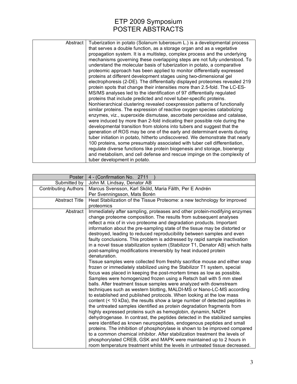| Abstract | Tuberization in potato (Solanum tuberosum L.) is a developmental process<br>that serves a double function, as a storage organ and as a vegetative<br>propagation system. It is a multistep, complex process and the underlying<br>mechanisms governing these overlapping steps are not fully understood. To<br>understand the molecular basis of tuberization in potato, a comparative<br>proteomic approach has been applied to monitor differentially expressed<br>proteins at different development stages using two-dimensional gel<br>electrophoresis (2-DE). The differentially displayed proteomes revealed 219<br>protein spots that change their intensities more than 2.5-fold. The LC-ES-<br>MS/MS analyses led to the identification of 97 differentially regulated<br>proteins that include predicted and novel tuber-specific proteins.<br>Nonhierarchical clustering revealed coexpression patterns of functionally<br>similar proteins. The expression of reactive oxygen species catabolizing<br>enzymes, viz., superoxide dismutase, ascorbate peroxidase and catalase,<br>were induced by more than 2-fold indicating their possible role during the<br>developmental transition from stolons into tubers and suggest that the<br>generation of ROS may be one of the early and determinant events during<br>tuber initiation in potato, hitherto undiscovered. We demonstrate that nearly<br>100 proteins, some presumably associated with tuber cell differentiation,<br>regulate diverse functions like protein biogenesis and storage, bioenergy<br>and metabolism, and cell defense and rescue impinge on the complexity of<br>tuber development in potato. |
|----------|-------------------------------------------------------------------------------------------------------------------------------------------------------------------------------------------------------------------------------------------------------------------------------------------------------------------------------------------------------------------------------------------------------------------------------------------------------------------------------------------------------------------------------------------------------------------------------------------------------------------------------------------------------------------------------------------------------------------------------------------------------------------------------------------------------------------------------------------------------------------------------------------------------------------------------------------------------------------------------------------------------------------------------------------------------------------------------------------------------------------------------------------------------------------------------------------------------------------------------------------------------------------------------------------------------------------------------------------------------------------------------------------------------------------------------------------------------------------------------------------------------------------------------------------------------------------------------------------------------------------------------------------------------------------------------------|

| Poster                | 4 - (Confirmation No. 2711                                                                                                                    |
|-----------------------|-----------------------------------------------------------------------------------------------------------------------------------------------|
| Submitted by          | John M. Lindsay, Denator AB                                                                                                                   |
| Contributing Authors  | Marcus Svensson, Karl Sköld, Maria Fälth, Per E Andrén                                                                                        |
|                       | Per Svenningsson, Mats Borén                                                                                                                  |
| <b>Abstract Title</b> | Heat Stabilization of the Tissue Proteome: a new technology for improved                                                                      |
|                       | proteomics                                                                                                                                    |
| Abstract              | Immediately after sampling, proteases and other protein-modifying enzymes                                                                     |
|                       | change proteome composition. The results from subsequent analyses                                                                             |
|                       | reflect a mix of in vivo proteome and degradation products. Important                                                                         |
|                       | information about the pre-sampling state of the tissue may be distorted or                                                                    |
|                       | destroyed, leading to reduced reproducibility between samples and even                                                                        |
|                       | faulty conclusions. This problem is addressed by rapid sample inactivation                                                                    |
|                       | in a novel tissue stabilization system (Stabilizor T1, Denator AB) which halts                                                                |
|                       | post-sampling modifications irreversibly by heat induced protein                                                                              |
|                       | denaturation.                                                                                                                                 |
|                       | Tissue samples were collected from freshly sacrifice mouse and either snap                                                                    |
|                       | frozen or immediately stabilized using the Stabilizor T1 system, special                                                                      |
|                       | focus was placed in keeping the post-mortem times as low as possible.                                                                         |
|                       | Samples were homogenized frozen using a Retsch ball with 5 mm steel                                                                           |
|                       | balls. After treatment tissue samples were analyzed with downstream                                                                           |
|                       | techniques such as western blotting, MALDI-MS or Nano-LC-MS according<br>to established and published protocols. When looking at the low mass |
|                       | content (< 10 kDa), the results show a large number of detected peptides in                                                                   |
|                       | the untreated samples identified as protein degradation fragments from                                                                        |
|                       | highly expressed proteins such as hemoglobin, dynamin, NADH                                                                                   |
|                       | dehydrogenase. In contrast, the peptides detected in the stabilized samples                                                                   |
|                       | were identified as known neuropeptides, endogenous peptides and small                                                                         |
|                       | proteins. The inhibition of phosphorylase is shown to be improved compared                                                                    |
|                       | to a common chemical inhibitor. After stabilization treatment the levels of                                                                   |
|                       | phosphorylated CREB, GSK and MAPK were maintained up to 2 hours in                                                                            |
|                       | room temperature treatment whilst the levels in untreated tissue decreased.                                                                   |
|                       |                                                                                                                                               |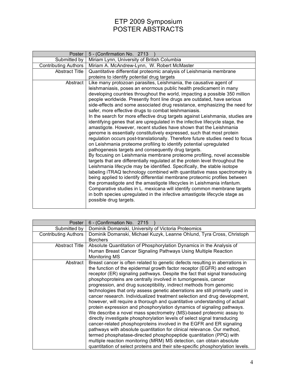| Poster                      | 5 - (Confirmation No. 2713                                                                                                                                                                                                                                                                                                                                                                                                                                                                                                                                                                                                                                                                                                                                                                                                                                                                                                                                                                                                                                                                                                                                                                                                                                                                                                                                                                                                                           |
|-----------------------------|------------------------------------------------------------------------------------------------------------------------------------------------------------------------------------------------------------------------------------------------------------------------------------------------------------------------------------------------------------------------------------------------------------------------------------------------------------------------------------------------------------------------------------------------------------------------------------------------------------------------------------------------------------------------------------------------------------------------------------------------------------------------------------------------------------------------------------------------------------------------------------------------------------------------------------------------------------------------------------------------------------------------------------------------------------------------------------------------------------------------------------------------------------------------------------------------------------------------------------------------------------------------------------------------------------------------------------------------------------------------------------------------------------------------------------------------------|
| Submitted by                | Miriam Lynn, University of British Columbia                                                                                                                                                                                                                                                                                                                                                                                                                                                                                                                                                                                                                                                                                                                                                                                                                                                                                                                                                                                                                                                                                                                                                                                                                                                                                                                                                                                                          |
| <b>Contributing Authors</b> | Miriam A. McAndrew-Lynn, W. Robert McMaster                                                                                                                                                                                                                                                                                                                                                                                                                                                                                                                                                                                                                                                                                                                                                                                                                                                                                                                                                                                                                                                                                                                                                                                                                                                                                                                                                                                                          |
| <b>Abstract Title</b>       | Quantitative differential proteomic analysis of Leishmania membrane                                                                                                                                                                                                                                                                                                                                                                                                                                                                                                                                                                                                                                                                                                                                                                                                                                                                                                                                                                                                                                                                                                                                                                                                                                                                                                                                                                                  |
|                             | proteins to identify potential drug targets                                                                                                                                                                                                                                                                                                                                                                                                                                                                                                                                                                                                                                                                                                                                                                                                                                                                                                                                                                                                                                                                                                                                                                                                                                                                                                                                                                                                          |
| Abstract                    | Like many protozoan parasites, Leishmania, the causative agent of<br>leishmaniasis, poses an enormous public health predicament in many<br>developing countries throughout the world, impacting a possible 350 million<br>people worldwide. Presently front line drugs are outdated, have serious<br>side-effects and some associated drug resistance, emphasizing the need for<br>safer, more effective drugs to combat leishmaniasis.<br>In the search for more effective drug targets against Leishmania, studies are<br>identifying genes that are upregulated in the infective lifecycle stage, the<br>amastigote. However, recent studies have shown that the Leishmania<br>genome is essentially constitutively expressed, such that most protein<br>regulation occurs post-translationally. Therefore future studies need to focus<br>on Leishmania proteome profiling to identify potential upregulated<br>pathogenesis targets and consequently drug targets.<br>By focusing on Leishmania membrane proteome profiling, novel accessible<br>targets that are differentially regulated at the protein level throughout the<br>Leishmania lifecycle may be identified. Specifically, the stable isotope<br>labeling iTRAQ technology combined with quantitative mass spectrometry is<br>being applied to identify differential membrane proteomic profiles between<br>the promastigote and the amastigote lifecycles in Leishmania infantum. |
|                             | Comparative studies in L. mexicana will identify common membrane targets<br>in both species upregulated in the infective amastigote lifecycle stage as<br>possible drug targets.                                                                                                                                                                                                                                                                                                                                                                                                                                                                                                                                                                                                                                                                                                                                                                                                                                                                                                                                                                                                                                                                                                                                                                                                                                                                     |

| Poster                      | 6 - (Confirmation No. 2715                                                                                                                                                                                                                                                                                                                                                                                                                                                                                                                                                                                                                                                                                                                                                                                                                                                                                                                                                                                                                                                                                                                                                                                                                    |
|-----------------------------|-----------------------------------------------------------------------------------------------------------------------------------------------------------------------------------------------------------------------------------------------------------------------------------------------------------------------------------------------------------------------------------------------------------------------------------------------------------------------------------------------------------------------------------------------------------------------------------------------------------------------------------------------------------------------------------------------------------------------------------------------------------------------------------------------------------------------------------------------------------------------------------------------------------------------------------------------------------------------------------------------------------------------------------------------------------------------------------------------------------------------------------------------------------------------------------------------------------------------------------------------|
| Submitted by                | Dominik Domanski, University of Victoria Proteomics                                                                                                                                                                                                                                                                                                                                                                                                                                                                                                                                                                                                                                                                                                                                                                                                                                                                                                                                                                                                                                                                                                                                                                                           |
| <b>Contributing Authors</b> | Dominik Domanski, Michael Kuzyk, Leanne Ohlund, Tyra Cross, Christoph<br><b>Borchers</b>                                                                                                                                                                                                                                                                                                                                                                                                                                                                                                                                                                                                                                                                                                                                                                                                                                                                                                                                                                                                                                                                                                                                                      |
| <b>Abstract Title</b>       | Absolute Quantitation of Phosphorylation Dynamics in the Analysis of<br>Human Breast Cancer Signaling Pathways Using Multiple Reaction<br>Monitoring MS                                                                                                                                                                                                                                                                                                                                                                                                                                                                                                                                                                                                                                                                                                                                                                                                                                                                                                                                                                                                                                                                                       |
| Abstract                    | Breast cancer is often related to genetic defects resulting in aberrations in<br>the function of the epidermal growth factor receptor (EGFR) and estrogen<br>receptor (ER) signaling pathways. Despite the fact that signal transducing<br>phosphoproteins are centrally involved in tumorigenesis, cancer<br>progression, and drug susceptibility, indirect methods from genomic<br>technologies that only assess genetic aberrations are still primarily used in<br>cancer research. Individualized treatment selection and drug development,<br>however, will require a thorough and quantitative understanding of actual<br>protein expression and phosphorylation dynamics of signaling pathways.<br>We describe a novel mass spectrometry (MS)-based proteomic assay to<br>directly investigate phosphorylation levels of select signal transducing<br>cancer-related phosphoproteins involved in the EGFR and ER signaling<br>pathways with absolute quantitation for clinical relevance. Our method,<br>termed phosphatase-directed phosphopeptide quantitation (PPQ) with<br>multiple reaction monitoring (MRM) MS detection, can obtain absolute<br>quantitation of select proteins and their site-specific phosphorylation levels. |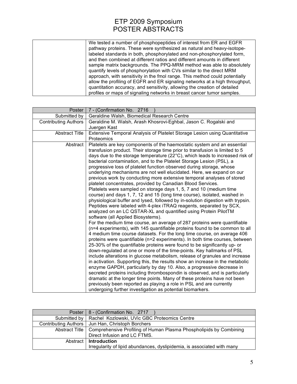| We tested a number of phosphopeptides of interest from ER and EGFR          |
|-----------------------------------------------------------------------------|
| pathway proteins. These were synthesized as natural and heavy-isotope-      |
| labeled standards in both, phosphorylated and non-phosphorylated form,      |
| and then combined at different ratios and different amounts in different    |
| sample matrix backgrounds. The PPQ-MRM method was able to absolutely        |
| quantify levels of phosphorylation with CVs similar to the direct MRM       |
| approach, with sensitivity in the fmol range. This method could potentially |
| allow the profiling of EGFR and ER signaling networks at a high throughput, |
| quantitation accuracy, and sensitivity, allowing the creation of detailed   |
| profiles or maps of signaling networks in breast cancer tumor samples.      |

| Poster                      | 7 - (Confirmation No. 2716                                                                                                                             |
|-----------------------------|--------------------------------------------------------------------------------------------------------------------------------------------------------|
| Submitted by                | Geraldine Walsh, Biomedical Research Centre                                                                                                            |
| <b>Contributing Authors</b> | Geraldine M. Walsh, Arash Khosrovi-Eghbal, Jason C. Rogalski and                                                                                       |
|                             | Juergen Kast                                                                                                                                           |
| <b>Abstract Title</b>       | Extensive Temporal Analysis of Platelet Storage Lesion using Quantitative                                                                              |
|                             | Proteomics                                                                                                                                             |
| Abstract                    | Platelets are key components of the haemostatic system and an essential                                                                                |
|                             | transfusion product. Their storage time prior to transfusion is limited to 5                                                                           |
|                             | days due to the storage temperature (22°C), which leads to increased risk of                                                                           |
|                             | bacterial contamination, and to the Platelet Storage Lesion (PSL), a                                                                                   |
|                             | progressive loss of platelet function observed during storage, whose                                                                                   |
|                             | underlying mechanisms are not well elucidated. Here, we expand on our                                                                                  |
|                             | previous work by conducting more extensive temporal analyses of stored                                                                                 |
|                             | platelet concentrates, provided by Canadian Blood Services.                                                                                            |
|                             | Platelets were sampled on storage days 1, 5, 7 and 10 (medium time                                                                                     |
|                             | course) and days 1, 7, 12 and 15 (long time course), isolated, washed in                                                                               |
|                             | physiological buffer and lysed, followed by in-solution digestion with trypsin.<br>Peptides were labeled with 4-plex iTRAQ reagents, separated by SCX, |
|                             | analyzed on an LC QSTAR-XL and quantified using Protein PilotTM                                                                                        |
|                             | software (all Applied Biosystems).                                                                                                                     |
|                             | For the medium time course, an average of 287 proteins were quantifiable                                                                               |
|                             | (n=4 experiments), with 145 quantifiable proteins found to be common to all                                                                            |
|                             | 4 medium time course datasets. For the long time course, on average 406                                                                                |
|                             | proteins were quantifiable (n=2 experiments). In both time courses, between                                                                            |
|                             | 25-30% of the quantifiable proteins were found to be significantly up- or                                                                              |
|                             | down-regulated at one or more of the time-points. Key hallmarks of PSL                                                                                 |
|                             | include alterations in glucose metabolism, release of granules and increase                                                                            |
|                             | in activation. Supporting this, the results show an increase in the metabolic                                                                          |
|                             | enzyme GAPDH, particularly by day 10. Also, a progressive decrease in                                                                                  |
|                             | secreted proteins including thrombospondin is observed, and is particularly                                                                            |
|                             | dramatic at the longer time points. Many of these proteins have not been                                                                               |
|                             | previously been reported as playing a role in PSL and are currently                                                                                    |
|                             | undergoing further investigation as potential biomarkers.                                                                                              |

| Poster               | 8 - (Confirmation No. 2717                                              |
|----------------------|-------------------------------------------------------------------------|
| Submitted by         | Rachel Kozlowski, UVic GBC Proteomics Centre                            |
| Contributing Authors | Jun Han, Christoph Borchers                                             |
| Abstract Title       | Comprehensive Profiling of Human Plasma Phospholipids by Combining      |
|                      | Direct Infusion and LC FTMS.                                            |
| Abstract I           | <b>Introduction</b>                                                     |
|                      | Irregularity of lipid abundances, dyslipidemia, is associated with many |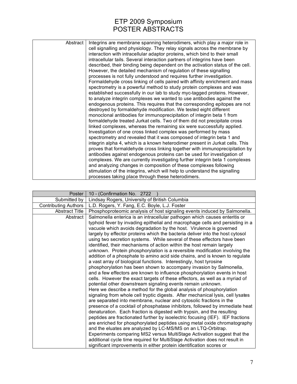| Abstract | Integrins are membrane spanning heterodimers, which play a major role in<br>cell signalling and physiology. They relay signals across the membrane by<br>interaction with intracellular adaptor proteins, which bind to their small<br>intracellular tails. Several interaction partners of integrins have been<br>described, their binding being dependent on the activation status of the cell.<br>However, the detailed mechanism of regulation of these signalling<br>processes is not fully understood and requires further investigation.<br>Formaldehyde cross linking of cells paired with affinity enrichment and mass<br>spectrometry is a powerful method to study protein complexes and was<br>established successfully in our lab to study myc-tagged proteins. However,<br>to analyze integrin complexes we wanted to use antibodies against the<br>endogenous proteins. This requires that the corresponding epitopes are not<br>destroyed by formaldehyde modification. We tested eight different<br>monoclonal antibodies for immunoprecipitation of integrin beta 1 from<br>formaldehyde treated Jurkat cells. Two of them did not precipitate cross<br>linked complexes, whereas the remaining six were successfully applied.<br>Investigation of one cross linked complex was performed by mass<br>spectrometry and revealed that it was composed of integrin beta 1 and<br>integrin alpha 4, which is a known heterodimer present in Jurkat cells. This<br>proves that formaldehyde cross linking together with immunoprecipitation by<br>antibodies against endogenous proteins can be used for investigation of<br>complexes. We are currently investigating further integrin beta 1 complexes<br>and analyzing changes in composition of these complexes following<br>stimulation of the integrins, which will help to understand the signalling |
|----------|--------------------------------------------------------------------------------------------------------------------------------------------------------------------------------------------------------------------------------------------------------------------------------------------------------------------------------------------------------------------------------------------------------------------------------------------------------------------------------------------------------------------------------------------------------------------------------------------------------------------------------------------------------------------------------------------------------------------------------------------------------------------------------------------------------------------------------------------------------------------------------------------------------------------------------------------------------------------------------------------------------------------------------------------------------------------------------------------------------------------------------------------------------------------------------------------------------------------------------------------------------------------------------------------------------------------------------------------------------------------------------------------------------------------------------------------------------------------------------------------------------------------------------------------------------------------------------------------------------------------------------------------------------------------------------------------------------------------------------------------------------------------------------------------------------------------------------------------------------------------------|
|          | processes taking place through these heterodimers.                                                                                                                                                                                                                                                                                                                                                                                                                                                                                                                                                                                                                                                                                                                                                                                                                                                                                                                                                                                                                                                                                                                                                                                                                                                                                                                                                                                                                                                                                                                                                                                                                                                                                                                                                                                                                       |

| Poster                      | 10 - (Confirmation No. 2722                                                                                                                                 |
|-----------------------------|-------------------------------------------------------------------------------------------------------------------------------------------------------------|
| Submitted by                | Lindsay Rogers, University of British Columbia                                                                                                              |
| <b>Contributing Authors</b> | L.D. Rogers, Y. Fang, E.C. Boyle, L.J. Foster                                                                                                               |
| <b>Abstract Title</b>       | Phosphoproteomic analysis of host signaling events induced by Salmonella.                                                                                   |
| Abstract                    | Salmonella enterica is an intracellular pathogen which causes enteritis or<br>typhoid fever by invading epithelial and macrophage cells and persisting in a |
|                             | vacuole which avoids degradation by the host. Virulence is governed                                                                                         |
|                             | largely by effector proteins which the bacteria deliver into the host cytosol                                                                               |
|                             | using two secretion systems. While several of these effectors have been<br>identified, their mechanisms of action within the host remain largely            |
|                             | unknown. Protein phosphorylation is a reversible modification involving the                                                                                 |
|                             | addition of a phosphate to amino acid side chains, and is known to regulate                                                                                 |
|                             | a vast array of biological functions. Interestingly, host tyrosine                                                                                          |
|                             | phosphorylation has been shown to accompany invasion by Salmonella,                                                                                         |
|                             | and a few effectors are known to influence phosphorylation events in host                                                                                   |
|                             | cells. However the exact targets of these effectors, as well as a myriad of<br>potential other downstream signaling events remain unknown.                  |
|                             | Here we describe a method for the global analysis of phosphorylation                                                                                        |
|                             | signaling from whole cell tryptic digests. After mechanical lysis, cell lysates                                                                             |
|                             | are separated into membrane, nuclear and cytosolic fractions in the                                                                                         |
|                             | presence of a cocktail of phosphatase inhibitors, followed by immediate heat                                                                                |
|                             | denaturation. Each fraction is digested with trypsin, and the resulting                                                                                     |
|                             | peptides are fractionated further by isoelectric focusing (IEF). IEF fractions                                                                              |
|                             | are enriched for phosphorylated peptides using metal oxide chromatography<br>and the eluates are analyzed by LC-MS/MS on an LTQ-Orbitrap.                   |
|                             | Experiments comparing MS2 versus MultiStage Activation suggest that the                                                                                     |
|                             | additional cycle time required for MultiStage Activation does not result in                                                                                 |
|                             | significant improvements in either protein identification scores or                                                                                         |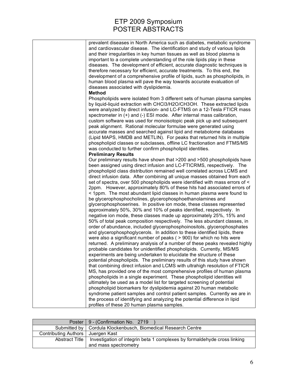|                      | Poster   9 - (Confirmation No. 2719)                                                              |
|----------------------|---------------------------------------------------------------------------------------------------|
|                      | Submitted by   Cordula Klockenbusch, Biomedical Research Centre                                   |
| Contributing Authors | Juergen Kast                                                                                      |
| Abstract Title       | Investigation of integrin beta 1 complexes by formaldehyde cross linking<br>and mass spectrometry |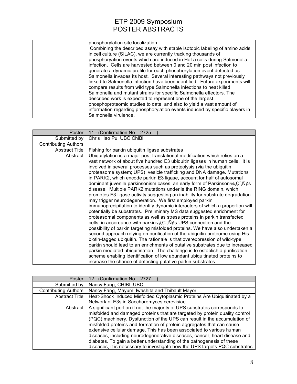| phosphorylation site localization.                                           |
|------------------------------------------------------------------------------|
| Combining the described assay with stable isotopic labeling of amino acids   |
| in cell culture (SILAC), we are currently tracking thousands of              |
| phosphoryation events which are induced in HeLa cells during Salmonella      |
| infection. Cells are harvested between 0 and 20 min post infection to        |
| generate a dynamic profile for each phosphorylation event detected as        |
| Salmonella invades its host. Several interesting pathways not previously     |
| linked to Salmonella infection have been identified. Future experiments will |
| compare results from wild type Salmonella infections to heat killed          |
| Salmonella and mutant strains for specific Salmonella effectors. The         |
| described work is expected to represent one of the largest                   |
|                                                                              |
| phosphoproteomic studies to date, and also to yield a vast amount of         |
| information regarding phosphorylation events induced by specific players in  |
| Salmonella virulence.                                                        |

| Poster                      | 11 - (Confirmation No. 2725                                                                                                                               |
|-----------------------------|-----------------------------------------------------------------------------------------------------------------------------------------------------------|
| Submitted by                | Chris Hao Pu, UBC ChiBi                                                                                                                                   |
| <b>Contributing Authors</b> |                                                                                                                                                           |
| <b>Abstract Title</b>       | Fishing for parkin ubiquitin ligase substrates                                                                                                            |
| Abstract                    | Ubiquitylation is a major post-translational modification which relies on a                                                                               |
|                             | vast network of about five hundred E3 ubiquitin ligases in human cells. It is                                                                             |
|                             | involved in several processes such as proteolysis (via the ubiquitin                                                                                      |
|                             | proteasome system; UPS), vesicle trafficking and DNA damage. Mutations                                                                                    |
|                             | in PARK2, which encode parkin E3 ligase, account for half of autosomal                                                                                    |
|                             | dominant juvenile parkinsonism cases, an early form of Parkinson $\forall \phi, \mathbb{C}^n$ , $\mathbb{N} \phi$ s                                       |
|                             | disease. Multiple PARK2 mutations underlie the RING domain, which                                                                                         |
|                             | promotes E3 ligase activity suggesting an inability for substrate degradation                                                                             |
|                             | may trigger neurodegeneration. We first employed parkin                                                                                                   |
|                             | immunoprecipitation to identify dynamic interactors of which a proportion will<br>potentially be substrates. Preliminary MS data suggested enrichment for |
|                             | proteasomal components as well as stress proteins in parkin transfected                                                                                   |
|                             | cells, in accordance with parkin $\forall \phi, \mathcal{C}, \mathcal{N}\phi$ s UPS connection and the                                                    |
|                             | possibility of parkin targeting misfolded proteins. We have also undertaken a                                                                             |
|                             | second approach relying on purification of the ubiquitin proteome using His-                                                                              |
|                             | biotin-tagged ubiquitin. The rationale is that overexpression of wild-type                                                                                |
|                             | parkin should lead to an enrichments of putative substrates due to increased                                                                              |
|                             | parkin mediated ubiquitination. The challenge is to establish a purification                                                                              |
|                             | scheme enabling identification of low abundant ubiquitinated proteins to                                                                                  |
|                             | increase the chance of detecting putative parkin substrates.                                                                                              |

| Poster                      | 12 - (Confirmation No. 2727                                                                                                                                                                                                |
|-----------------------------|----------------------------------------------------------------------------------------------------------------------------------------------------------------------------------------------------------------------------|
| Submitted by                | Nancy Fang, CHIBI, UBC                                                                                                                                                                                                     |
| <b>Contributing Authors</b> | Nancy Fang, Mayumi Iwashita and Thibault Mayor                                                                                                                                                                             |
| <b>Abstract Title</b>       | Heat-Shock Induced Misfolded Cytoplasmic Proteins Are Ubiquitinated by a                                                                                                                                                   |
|                             | Network of E3s in Saccharomyces cerevisiae.                                                                                                                                                                                |
| Abstract                    | A significant portion if not the majority of UPS substrates corresponds to<br>misfolded and damaged proteins that are targeted by protein quality control                                                                  |
|                             | (PQC) machinery. Dysfunction of the UPS can result in the accumulation of<br>misfolded proteins and formation of protein aggregates that can cause<br>extensive cellular damage. This has been associated to various human |
|                             | diseases, including neurodegenerative diseases, cancer, heart disease and                                                                                                                                                  |
|                             | diabetes. To gain a better understanding of the pathogenesis of these<br>diseases, it is necessary to investigate how the UPS targets PQC substrates                                                                       |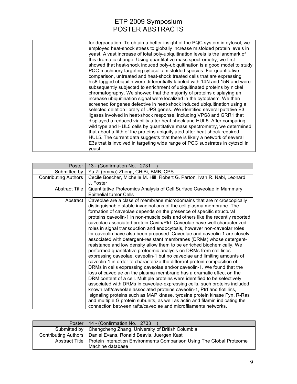| for degradation. To obtain a better insight of the PQC system in cytosol, we<br>employed heat-shock stress to globally increase misfolded protein levels in<br>yeast. A vast increase of total poly-ubiquitination levels is the landmark of<br>this dramatic change. Using quantitative mass spectrometry, we first<br>showed that heat-shock induced poly-ubiquitination is a good model to study<br>PQC machinery targeting cytosolic misfolded species. For quantitative<br>comparison, untreated and heat-shock treated cells that are expressing<br>his8-tagged ubiquitin were differentially labeled with 14N and 15N and were<br>subsequently subjected to enrichment of ubiquitinated proteins by nickel<br>chromatography. We showed that the majority of proteins displaying an<br>increase ubiquitination signal were localized in the cytoplasm. We then<br>screened for genes defective in heat-shock induced ubiquitination using a<br>selected deletion library of UPS genes. We identified several putative E3<br>ligases involved in heat-shock response, including VPS8 and GRR1 that<br>displayed a reduced viability after heat-shock and HUL5. After comparing |
|--------------------------------------------------------------------------------------------------------------------------------------------------------------------------------------------------------------------------------------------------------------------------------------------------------------------------------------------------------------------------------------------------------------------------------------------------------------------------------------------------------------------------------------------------------------------------------------------------------------------------------------------------------------------------------------------------------------------------------------------------------------------------------------------------------------------------------------------------------------------------------------------------------------------------------------------------------------------------------------------------------------------------------------------------------------------------------------------------------------------------------------------------------------------------------------|
| wild type and HUL5 cells by quantitative mass spectrometry, we determined<br>that about a fifth of the proteins ubiquitylated after heat-shock required<br>HUL5. The current data suggests that there is likely a network of several<br>E3s that is involved in targeting wide range of PQC substrates in cytosol in<br>yeast.                                                                                                                                                                                                                                                                                                                                                                                                                                                                                                                                                                                                                                                                                                                                                                                                                                                       |

| Poster                      | 13 - (Confirmation No. 2731                                                                                                                                                                                                                                                                                                                                                                                                                                                                                                                                                                                                                                                                                                                                                                                                                                                                                                                                                                                                                                                                                                                                                                                                                                                                                                                                                                                                                                                                                                                          |
|-----------------------------|------------------------------------------------------------------------------------------------------------------------------------------------------------------------------------------------------------------------------------------------------------------------------------------------------------------------------------------------------------------------------------------------------------------------------------------------------------------------------------------------------------------------------------------------------------------------------------------------------------------------------------------------------------------------------------------------------------------------------------------------------------------------------------------------------------------------------------------------------------------------------------------------------------------------------------------------------------------------------------------------------------------------------------------------------------------------------------------------------------------------------------------------------------------------------------------------------------------------------------------------------------------------------------------------------------------------------------------------------------------------------------------------------------------------------------------------------------------------------------------------------------------------------------------------------|
| Submitted by                | Yu Zi (emma) Zheng, CHiBi, BMB, CPS                                                                                                                                                                                                                                                                                                                                                                                                                                                                                                                                                                                                                                                                                                                                                                                                                                                                                                                                                                                                                                                                                                                                                                                                                                                                                                                                                                                                                                                                                                                  |
| <b>Contributing Authors</b> | Cecile Boscher, Michelle M. Hill, Robert G. Parton, Ivan R. Nabi, Leonard<br>J. Foster                                                                                                                                                                                                                                                                                                                                                                                                                                                                                                                                                                                                                                                                                                                                                                                                                                                                                                                                                                                                                                                                                                                                                                                                                                                                                                                                                                                                                                                               |
| <b>Abstract Title</b>       | Quantitative Proteomics Analysis of Cell Surface Caveolae in Mammary<br><b>Epithelial tumor Cells</b>                                                                                                                                                                                                                                                                                                                                                                                                                                                                                                                                                                                                                                                                                                                                                                                                                                                                                                                                                                                                                                                                                                                                                                                                                                                                                                                                                                                                                                                |
| Abstract                    | Caveolae are a class of membrane microdomains that are microscopically<br>distinguishable stable invaginations of the cell plasma membrane. The<br>formation of caveolae depends on the presence of specific structural<br>proteins caveolin-1 in non-muscle cells and others like the recently reported<br>caveolae associated protein Cavin/Ptrf. Caveolae have well-characterized<br>roles in signal transduction and endocytosis, however non-caveolar roles<br>for caveolin have also been proposed. Caveolae and caveolin-1 are closely<br>associated with detergent-resistant membranes (DRMs) whose detergent-<br>resistance and low density allow them to be enriched biochemically. We<br>performed quantitative proteomic analysis on DRMs from cell lines<br>expressing caveolae, caveolin-1 but no caveolae and limiting amounts of<br>caveolin-1 in order to characterize the different protein composition of<br>DRMs in cells expressing caveolae and/or caveolin-1. We found that the<br>loss of caveolae on the plasma membrane has a dramatic effect on the<br>DRM content of a cell. Multiple proteins were identified to be selectively<br>associated with DRMs in caveolae-expressing cells, such proteins included<br>known raft/caveolae associated proteins caveolin-1, Ptrf and flotillins,<br>signaling proteins such as MAP kinase, tyrosine protein kinase Fyn, R-Ras<br>and multiple G protein subunits, as well as actin and filamin indicating the<br>connection between rafts/caveolae and microfilaments networks. |

| Poster   14 - (Confirmation No. 2733                                                                       |
|------------------------------------------------------------------------------------------------------------|
| Submitted by   Chengcheng Zhang, University of British Columbia                                            |
| Contributing Authors   Daniel Evans, Ronald Beavis, Juergen Kast                                           |
| Abstract Title   Protein Interaction Environments Comparison Using The Global Proteome<br>Machine database |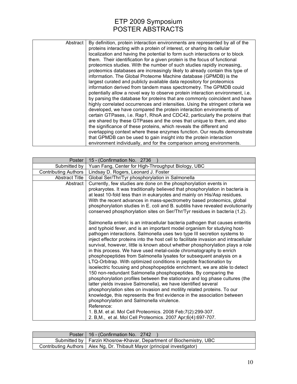| Abstract | By definition, protein interaction environments are represented by all of the<br>proteins interacting with a protein of interest, or sharing its cellular<br>localization and having the potential to form such interactions or to block<br>them. Their identification for a given protein is the focus of functional<br>proteomics studies. With the number of such studies rapidly increasing,<br>proteomics databases are increasingly likely to already contain this type of<br>information. The Global Proteome Machine database (GPMDB) is the<br>largest curated and publicly available data repository for proteomics<br>information derived from tandem mass spectrometry. The GPMDB could<br>potentially allow a novel way to observe protein interaction environment, i.e.<br>by parsing the database for proteins that are commonly coincident and have<br>highly correlated occurrences and intensities. Using the stringent criteria we |
|----------|-------------------------------------------------------------------------------------------------------------------------------------------------------------------------------------------------------------------------------------------------------------------------------------------------------------------------------------------------------------------------------------------------------------------------------------------------------------------------------------------------------------------------------------------------------------------------------------------------------------------------------------------------------------------------------------------------------------------------------------------------------------------------------------------------------------------------------------------------------------------------------------------------------------------------------------------------------|
|          | developed, we have compared the protein interaction environments of<br>certain GTPases, i.e. Rap1, RhoA and CDC42, particularly the proteins that<br>are shared by these GTPases and the ones that unique to them, and also<br>the significance of these proteins, which reveals the different and<br>overlapping context where these enzymes function. Our results demonstrate<br>that GPMDB can be used to gain insight into the protein interaction<br>environment individually, and for the comparison among environments.                                                                                                                                                                                                                                                                                                                                                                                                                        |

| Submitted by                | Yuan Fang, Center for High-Throughput Biology, UBC                                                                                                                                                                                                                                                                                                                                                                                                                                                                                                                                                                                                                                                                                                                                                                                                                                                                                                                                                                                                                                                                                                                                                                                                                                                                                                                                                                                                                                                                                                                                                                                                                                                                                                     |
|-----------------------------|--------------------------------------------------------------------------------------------------------------------------------------------------------------------------------------------------------------------------------------------------------------------------------------------------------------------------------------------------------------------------------------------------------------------------------------------------------------------------------------------------------------------------------------------------------------------------------------------------------------------------------------------------------------------------------------------------------------------------------------------------------------------------------------------------------------------------------------------------------------------------------------------------------------------------------------------------------------------------------------------------------------------------------------------------------------------------------------------------------------------------------------------------------------------------------------------------------------------------------------------------------------------------------------------------------------------------------------------------------------------------------------------------------------------------------------------------------------------------------------------------------------------------------------------------------------------------------------------------------------------------------------------------------------------------------------------------------------------------------------------------------|
| <b>Contributing Authors</b> | Lindsay D. Rogers, Leonard J. Foster                                                                                                                                                                                                                                                                                                                                                                                                                                                                                                                                                                                                                                                                                                                                                                                                                                                                                                                                                                                                                                                                                                                                                                                                                                                                                                                                                                                                                                                                                                                                                                                                                                                                                                                   |
| <b>Abstract Title</b>       | Global Ser/Thr/Tyr phosphorylation in Salmonella                                                                                                                                                                                                                                                                                                                                                                                                                                                                                                                                                                                                                                                                                                                                                                                                                                                                                                                                                                                                                                                                                                                                                                                                                                                                                                                                                                                                                                                                                                                                                                                                                                                                                                       |
| Abstract<br>Reference:      | Currently, few studies are done on the phosphorylation events in<br>prokaryotes. It was traditionally believed that phosphorylation in bacteria is<br>at least 10-fold less than in eukaryotes and mainly on His/Asp residues.<br>With the recent advances in mass-spectrometry based proteomics, global<br>phosphorylation studies in E. coli and B. subtilis have revealed evolutionarily<br>conserved phosphorylation sites on Ser/Thr/Tyr residues in bacteria (1,2).<br>Salmonella enteric is an intracellular bacteria pathogen that causes enteritis<br>and typhoid fever, and is an important model organism for studying host-<br>pathogen interactions. Salmonella uses two type III secretion systems to<br>inject effector proteins into the host cell to facilitate invasion and intracellular<br>survival, however, little is known about whether phosphorylation plays a role<br>in this process. We have used metal-oxide chromatography to enrich<br>phosphopeptides from Salmonella lysates for subsequent analysis on a<br>LTQ-Orbitrap. With optimized conditions in peptide fractionation by<br>isoelectric focusing and phosphopeptide enrichment, we are able to detect<br>150 non-redundant Salmonella phosphopeptides. By comparing the<br>phosphorylation profiles between the stationary and log phase cultures (the<br>latter yields invasive Salmonella), we have identified several<br>phosphorylation sites on invasion and motility related proteins. To our<br>knowledge, this represents the first evidence in the association between<br>phosphorylation and Salmonella virulence.<br>1. B, M. et al. Mol Cell Proteomics. 2008 Feb; 7(2): 299-307.<br>2. B, M., et al. Mol Cell Proteomics. 2007 Apr;6(4):697-707. |

| Poster   16 - (Confirmation No. 2742)                                       |
|-----------------------------------------------------------------------------|
| Submitted by   Farzin Khosrow-Khavar, Department of Biochemistry, UBC       |
| Contributing Authors   Alex Ng, Dr. Thibault Mayor (principal investigator) |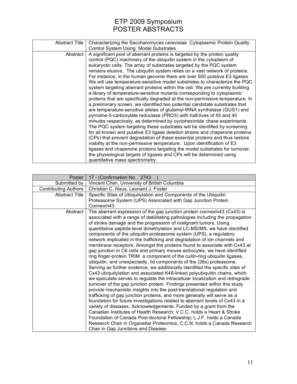| Abstract Title | Characterizing the Saccharomyces cerevisiae Cytoplasmic Protein Quality<br><b>Control System Using Model Substrates</b>                                                                                                                                                                                                                                                                                                                                                                                                                                                                                                                                                                                                                                                                                                                                                                                                                                                                                                                                                                                                                                                                                                                                                                                                                                                                                                                                                                                                                          |
|----------------|--------------------------------------------------------------------------------------------------------------------------------------------------------------------------------------------------------------------------------------------------------------------------------------------------------------------------------------------------------------------------------------------------------------------------------------------------------------------------------------------------------------------------------------------------------------------------------------------------------------------------------------------------------------------------------------------------------------------------------------------------------------------------------------------------------------------------------------------------------------------------------------------------------------------------------------------------------------------------------------------------------------------------------------------------------------------------------------------------------------------------------------------------------------------------------------------------------------------------------------------------------------------------------------------------------------------------------------------------------------------------------------------------------------------------------------------------------------------------------------------------------------------------------------------------|
| Abstract       | A significant pool of aberrant proteins is targeted by the protein quality<br>control (PQC) machinery of the ubiquitin system in the cytoplasm of<br>eukaryotic cells. The array of substrates targeted by the PQC system<br>remains elusive. The ubiquitin system relies on a vast network of proteins.<br>For instance, in the human genome there are over 500 putative E3 ligases.<br>We will use temperature-sensitive model substrates to characterize the PQC<br>system targeting aberrant proteins within the cell. We are currently building<br>a library of temperature-sensitive mutants corresponding to cytoplasmic<br>proteins that are specifically degraded at the non-permissive temperature. In<br>a preliminary screen, we identified two potential candidate substrates that<br>are temperature-sensitive alleles of glutamyl-tRNA synthetase (GUS1) and<br>pyrroline-5-carboxylate reductase (PRO3) with half-lives of 45 and 40<br>minutes respectively, as determined by cycloheximide chase experiments.<br>The PQC system targeting these substrates will be identified by screening<br>for all known and putative E3 ligase deletion strains and chaperone proteins<br>(CPs) that prevent degradation of these essential proteins and thus restore<br>viability at the non-permissive temperature. Upon identification of E3<br>ligases and chaperone proteins targeting the model substrates for turnover,<br>the physiological targets of ligases and CPs will be determined using<br>quantitative mass spectrometry. |

| Poster                      | 17 - (Confirmation No. 2743                                                                                                                           |
|-----------------------------|-------------------------------------------------------------------------------------------------------------------------------------------------------|
| Submitted by                | Vincent Chen, University of British Columbia                                                                                                          |
| <b>Contributing Authors</b> | Christian C. Naus, Leonard J. Foster                                                                                                                  |
| <b>Abstract Title</b>       | Specific Sites of Ubiquitylation and Components of the Ubiquitin                                                                                      |
|                             | Proteasome System (UPS) Associated with Gap Junction Protein                                                                                          |
|                             | Connexin43                                                                                                                                            |
| Abstract                    | The aberrant expression of the gap junction protein connexin43 (Cx43) is                                                                              |
|                             | associated with a range of debilitating pathologies including the propagation                                                                         |
|                             | of stroke damage and the progression of malignant tumors. Using                                                                                       |
|                             | quantitative peptide-level dimethylation and LC-MS/MS, we have identified                                                                             |
|                             | components of the ubiquitin-proteasome system (UPS), a regulatory                                                                                     |
|                             | network implicated in the trafficking and degradation of ion channels and                                                                             |
|                             | membrane receptors. Amongst the proteins found to associate with Cx43 at                                                                              |
|                             | gap junction in C6 cells and primary mouse astrocytes, we have identified                                                                             |
|                             | ring finger-protein TRIM a component of the cullin-ring ubiquitin ligases,                                                                            |
|                             | ubiquitin, and unexpectedly, lid components of the (26s) proteasome.<br>Serving as further evidence, we additionally identified the specific sites of |
|                             | Cx43 ubiquitylation and associated K48-linked polyubiquitin chains, which                                                                             |
|                             | we speculate serves to regulate the intracellular localization and retrograde                                                                         |
|                             | turnover of the gap junction protein. Findings presented within this study                                                                            |
|                             | provide mechanistic insights into the post-translational regulation and                                                                               |
|                             | trafficking of gap junction proteins, and more generally will serve as a                                                                              |
|                             | foundation for future investigations related to aberrant levels of Cx43 in a                                                                          |
|                             | variety of diseases. Acknowledgements: Funded by a grant from the                                                                                     |
|                             | Canadian Institutes of Health Research; V.C.C. holds a Heart & Stroke                                                                                 |
|                             | Foundation of Canada Post-doctoral Fellowship; L.J.F. holds a Canada                                                                                  |
|                             | Research Chair in Organellar Proteomics; C.C.N. holds a Canada Research                                                                               |
|                             | Chair in Gap Junctions and Disease.                                                                                                                   |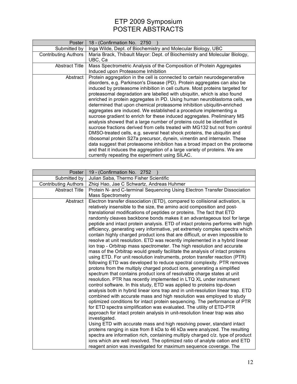| <b>Poster</b>               | 18 - (Confirmation No. 2750                                                  |
|-----------------------------|------------------------------------------------------------------------------|
| Submitted by                | Inga Wilde, Dept. of Biochemistry and Molecular Biology, UBC                 |
| <b>Contributing Authors</b> | Maria Brack, Thibault Mayor: Dept. of Biochemistry and Molecular Biology,    |
|                             | UBC, Ca                                                                      |
| <b>Abstract Title</b>       | Mass Spectrometric Analysis of the Composition of Protein Aggregates         |
|                             | Induced upon Proteasome Inhibition                                           |
| Abstract                    | Protein aggregation in the cell is connected to certain neurodegenerative    |
|                             | disorders, e.g. Parkinson's Disease (PD). Protein aggregates can also be     |
|                             | induced by proteasome inhibition in cell culture. Most proteins targeted for |
|                             | proteasomal degradation are labelled with ubiquitin, which is also found     |
|                             | enriched in protein aggregates in PD. Using human neuroblastoma cells, we    |
|                             | determined that upon chemical proteasome inhibition ubiquitin-enriched       |
|                             | aggregates are induced. We established a procedure implementing a            |
|                             | sucrose gradient to enrich for these induced aggregates. Preliminary MS      |
|                             | analysis showed that a large number of proteins could be identified in       |
|                             | sucrose fractions derived from cells treated with MG132 but not from control |
|                             | DMSO-treated cells, e.g. several heat shock proteins, the ubiquitin and      |
|                             | ribosomal protein S27a precursor, dynein, vimentin and internexin. These     |
|                             | data suggest that proteasome inhibition has a broad impact on the proteome   |
|                             | and that it induces the aggregation of a large variety of proteins. We are   |
|                             | currently repeating the experiment using SILAC.                              |

| Poster                      | 19 - (Confirmation No. 2752                                                                                                                                 |
|-----------------------------|-------------------------------------------------------------------------------------------------------------------------------------------------------------|
| Submitted by                | Julian Saba, Thermo Fisher Scientific                                                                                                                       |
| <b>Contributing Authors</b> | Zhiqi Hao, Jae C Schwartz, Andreas Huhmer                                                                                                                   |
| <b>Abstract Title</b>       | Protein N- and C-terminal Sequencing Using Electron Transfer Dissociation                                                                                   |
|                             | <b>Mass Spectrometry</b>                                                                                                                                    |
| Abstract                    | Electron transfer dissociation (ETD), compared to collisional activation, is                                                                                |
|                             | relatively insensible to the size, the amino acid composition and post-                                                                                     |
|                             | translational modifications of peptides or proteins. The fact that ETD                                                                                      |
|                             | randomly cleaves backbone bonds makes it an advantageous tool for large                                                                                     |
|                             | peptide and intact protein analysis. ETD of intact proteins performs with high                                                                              |
|                             | efficiency, generating very informative, yet extremely complex spectra which                                                                                |
|                             | contain highly charged product ions that are difficult, or even impossible to                                                                               |
|                             | resolve at unit resolution. ETD was recently implemented in a hybrid linear                                                                                 |
|                             | ion trap - Orbitrap mass spectrometer. The high resolution and accurate                                                                                     |
|                             | mass of the Orbitrap would greatly facilitate the analysis of intact proteins<br>using ETD. For unit resolution instruments, proton transfer reaction (PTR) |
|                             | following ETD was developed to reduce spectral complexity. PTR removes                                                                                      |
|                             | protons from the multiply charged product ions, generating a simplified                                                                                     |
|                             | spectrum that contains product ions of resolvable charge states at unit                                                                                     |
|                             | resolution. PTR has recently implemented in LTQ XL under instrument                                                                                         |
|                             | control software. In this study, ETD was applied to proteins top-down                                                                                       |
|                             | analysis both in hybrid linear ions trap and in unit-resolution linear trap. ETD                                                                            |
|                             | combined with accurate mass and high resolution was employed to study                                                                                       |
|                             | optimized conditions for intact protein sequencing. The performance of PTR                                                                                  |
|                             | for ETD spectra simplification was evaluated. The utility of ETD-PTR                                                                                        |
|                             | approach for intact protein analysis in unit-resolution linear trap was also                                                                                |
|                             | investigated.                                                                                                                                               |
|                             | Using ETD with accurate mass and high resolving power, standard intact                                                                                      |
|                             | proteins ranging in size from 8 kDa to 46 kDa were analyzed. The resulting                                                                                  |
|                             | spectra are information rich, containing multiply charged c/z. type of product                                                                              |
|                             | ions which are well resolved. The optimized ratio of analyte cation and ETD                                                                                 |
|                             | reagent anion was investigated for maximum sequence coverage. The                                                                                           |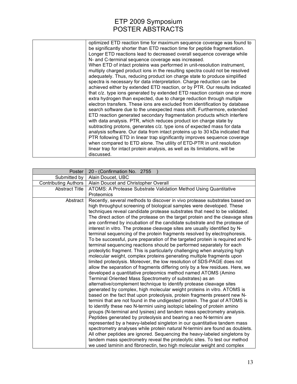| optimized ETD reaction time for maximum sequence coverage was found to       |
|------------------------------------------------------------------------------|
| be significantly shorter than ETD reaction time for peptide fragmentation.   |
| Longer ETD reactions lead to decreased overall sequence coverage while       |
| N- and C-terminal sequence coverage was increased.                           |
| When ETD of intact proteins was performed in unit-resolution instrument,     |
| multiply charged product ions in the resulting spectra could not be resolved |
| adequately. Thus, reducing product ion charge state to produce simplified    |
| spectra is necessary for data interpretation. Charge reduction can be        |
| achieved either by extended ETD reaction, or by PTR. Our results indicated   |
| that c/z. type ions generated by extended ETD reaction contain one or more   |
| extra hydrogen than expected, due to charge reduction through multiple       |
| electron transfers. These ions are excluded from identification by database  |
| search software due to the unexpected mass shift. Furthermore, extended      |
| ETD reaction generated secondary fragmentation products which interfere      |
| with data analysis. PTR, which reduces product ion charge state by           |
| subtracting protons, generates c/z. type ions of expected mass for data      |
| analysis software. Our data from intact proteins up to 30 kDa indicated that |
| PTR following ETD in linear trap significantly improves sequence coverage    |
| when compared to ETD alone. The utility of ETD-PTR in unit resolution        |
| linear trap for intact protein analysis, as well as its limitations, will be |
| discussed.                                                                   |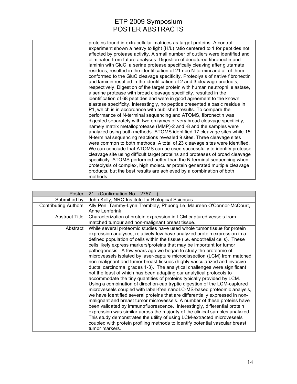| proteins found in extracellular matrices as target proteins. A control        |
|-------------------------------------------------------------------------------|
| experiment shown a heavy to light (H/L) ratio centered to 1 for peptides not  |
| affected by protease activity. A small number of outliers were identified and |
| eliminated from future analyses. Digestion of denatured fibronectin and       |
| laminin with GluC, a serine protease specifically cleaving after glutamate    |
| residues, resulted in the identification of 21 neo N-termini and all of them  |
| conformed to the GluC cleavage specificity. Proteolysis of native fibronectin |
| and laminin resulted in the identification of 2 and 3 cleavage products,      |
| respectively. Digestion of the target protein with human neutrophil elastase, |
| a serine protease with broad cleavage specificity, resulted in the            |
| identification of 68 peptides and were in good agreement to the known         |
| elastase specificity. Interestingly, no peptide presented a basic residue in  |
| P1, which is in accordance with published results. To compare the             |
| performance of N-terminal sequencing and ATOMS, fibronectin was               |
| digested separately with two enzymes of very broad cleavage specificity,      |
| namely matrix metalloprotease (MMP)-2 and -8 and the samples were             |
| analyzed using both methods. ATOMS identified 17 cleavage sites while 15      |
| N-terminal sequencing reactions revealed 9 sites. Three cleavage sites        |
| were common to both methods. A total of 23 cleavage sites were identified.    |
| We can conclude that ATOMS can be used successfully to identify protease      |
| cleavage site using difficult target proteins and proteases of broad cleavage |
| specificity. ATOMS performed better than the N-terminal sequencing when       |
| proteolysis of complex, high molecular protein generated multiple cleavage    |
| products, but the best results are achieved by a combination of both          |
| methods.                                                                      |

| Poster                      | 21 - (Confirmation No. 2757                                                                                                                                                                                                                                                                                                                                                                                                                                                                                                                                                                                                                                                                                                                                                                                                                                                                                                                                                                                                                                                                                                                                                                                                                                                                                                                                                                                                                 |
|-----------------------------|---------------------------------------------------------------------------------------------------------------------------------------------------------------------------------------------------------------------------------------------------------------------------------------------------------------------------------------------------------------------------------------------------------------------------------------------------------------------------------------------------------------------------------------------------------------------------------------------------------------------------------------------------------------------------------------------------------------------------------------------------------------------------------------------------------------------------------------------------------------------------------------------------------------------------------------------------------------------------------------------------------------------------------------------------------------------------------------------------------------------------------------------------------------------------------------------------------------------------------------------------------------------------------------------------------------------------------------------------------------------------------------------------------------------------------------------|
| Submitted by                | John Kelly, NRC-Institute for Biological Sciences                                                                                                                                                                                                                                                                                                                                                                                                                                                                                                                                                                                                                                                                                                                                                                                                                                                                                                                                                                                                                                                                                                                                                                                                                                                                                                                                                                                           |
| <b>Contributing Authors</b> | Ally Pen, Tammy-Lynn Tremblay, Phuong Le, Maureen O'Connor-McCourt,<br>Anne Lenferink                                                                                                                                                                                                                                                                                                                                                                                                                                                                                                                                                                                                                                                                                                                                                                                                                                                                                                                                                                                                                                                                                                                                                                                                                                                                                                                                                       |
| <b>Abstract Title</b>       | Characterization of protein expression in LCM-captured vessels from<br>matched tumour and non-malignant breast tissue.                                                                                                                                                                                                                                                                                                                                                                                                                                                                                                                                                                                                                                                                                                                                                                                                                                                                                                                                                                                                                                                                                                                                                                                                                                                                                                                      |
| Abstract                    | While several proteomic studies have used whole tumor tissue for protein<br>expression analyses, relatively few have analyzed protein expression in a<br>defined population of cells within the tissue (i.e. endothelial cells). These<br>cells likely express markers/proteins that may be important for tumor<br>pathogenesis. A few years ago we began to study the proteome of<br>microvessels isolated by laser-capture microdissection (LCM) from matched<br>non-malignant and tumor breast tissues (highly vascularized and invasive<br>ductal carcinoma, grades 1-3). The analytical challenges were significant<br>not the least of which has been adapting our analytical protocols to<br>accommodate the tiny quantities of proteins typically provided by LCM.<br>Using a combination of direct on-cap tryptic digestion of the LCM-captured<br>microvessels coupled with label-free nanoLC-MS-based proteomic analysis,<br>we have identified several proteins that are differentially expressed in non-<br>malignant and breast tumor microvessels. A number of these proteins have<br>been validated by immunofluorescence. Interestingly, differential protein<br>expression was similar across the majority of the clinical samples analyzed.<br>This study demonstrates the utility of using LCM-extracted microvessels<br>coupled with protein profiling methods to identify potential vascular breast<br>tumor markers. |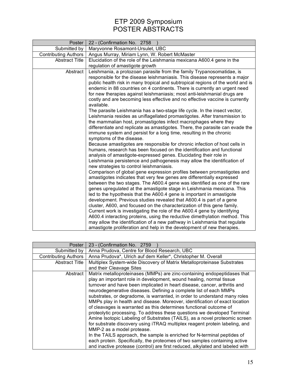| Poster                      | 22 - (Confirmation No. 2758                                                                                                                                                                                                                                                                                                                                                                                                                                                                                                                                                                                                                                                                                                                                                                                                                            |
|-----------------------------|--------------------------------------------------------------------------------------------------------------------------------------------------------------------------------------------------------------------------------------------------------------------------------------------------------------------------------------------------------------------------------------------------------------------------------------------------------------------------------------------------------------------------------------------------------------------------------------------------------------------------------------------------------------------------------------------------------------------------------------------------------------------------------------------------------------------------------------------------------|
| Submitted by                | Maryvonne Rosamont-Ursulet, UBC                                                                                                                                                                                                                                                                                                                                                                                                                                                                                                                                                                                                                                                                                                                                                                                                                        |
| <b>Contributing Authors</b> | Angus Murray, Miriam Lynn, W. Robert McMaster                                                                                                                                                                                                                                                                                                                                                                                                                                                                                                                                                                                                                                                                                                                                                                                                          |
| <b>Abstract Title</b>       | Elucidation of the role of the Leishmania mexicana A600.4 gene in the                                                                                                                                                                                                                                                                                                                                                                                                                                                                                                                                                                                                                                                                                                                                                                                  |
|                             | regulation of amastigote growth                                                                                                                                                                                                                                                                                                                                                                                                                                                                                                                                                                                                                                                                                                                                                                                                                        |
| Abstract                    | Leishmania, a protozoan parasite from the family Trypanosomatidae, is<br>responsible for the disease leishmaniasis. This disease represents a major<br>public health risk in many tropical and subtropical regions of the world and is<br>endemic in 88 countries on 4 continents. There is currently an urgent need<br>for new therapies against leishmaniasis; most anti-leishmanial drugs are<br>costly and are becoming less effective and no effective vaccine is currently<br>available.                                                                                                                                                                                                                                                                                                                                                         |
|                             | The parasite Leishmania has a two-stage life cycle. In the insect vector,<br>Leishmania resides as uniflagellated promastigotes. After transmission to<br>the mammalian host, promastigotes infect macrophages where they<br>differentiate and replicate as amastigotes. There, the parasite can evade the<br>immune system and persist for a long time, resulting in the chronic<br>symptoms of the disease.                                                                                                                                                                                                                                                                                                                                                                                                                                          |
|                             | Because amastigotes are responsible for chronic infection of host cells in<br>humans, research has been focused on the identification and functional<br>analysis of amastigote-expressed genes. Elucidating their role in<br>Leishmania persistence and pathogenesis may allow the identification of<br>new strategies to control leishmaniasis.                                                                                                                                                                                                                                                                                                                                                                                                                                                                                                       |
|                             | Comparison of global gene expression profiles between promastigotes and<br>amastigotes indicates that very few genes are differentially expressed<br>between the two stages. The A600.4 gene was identified as one of the rare<br>genes upregulated at the amastigote stage in Leishmania mexicana. This<br>led to the hypothesis that the A600.4 gene is important in amastigote<br>development. Previous studies revealed that A600.4 is part of a gene<br>cluster, A600, and focused on the characterization of this gene family.<br>Current work is investigating the role of the A600.4 gene by identifying<br>A600.4 interacting proteins, using the reductive dimethylation method. This<br>may allow the identification of a new pathway in Leishmania that regulate<br>amastigote proliferation and help in the development of new therapies. |

| <b>Poster</b>               | 23 - (Confirmation No. 2759                                                   |
|-----------------------------|-------------------------------------------------------------------------------|
| Submitted by                | Anna Prudova, Centre for Blood Research, UBC                                  |
| <b>Contributing Authors</b> | Anna Prudova*, Ulrich auf dem Keller*, Christopher M. Overall                 |
| <b>Abstract Title</b>       | Multiplex System-wide Discovery of Matrix Metalloproteinase Substrates        |
|                             | and their Cleavage Sites                                                      |
| Abstract                    | Matrix metalloproteinases (MMPs) are zinc-containing endopeptidases that      |
|                             | play an important role in development, wound healing, normal tissue           |
|                             | turnover and have been implicated in heart disease, cancer, arthritis and     |
|                             | neurodegenerative diseases. Defining a complete list of each MMPs             |
|                             | substrates, or degradome, is warranted, in order to understand many roles     |
|                             | MMPs play in health and disease. Moreover, identification of exact location   |
|                             | of cleavages is warranted as this determines functional outcome of            |
|                             | proteolytic processing. To address these questions we developed Terminal      |
|                             | Amine Isotopic Labeling of Substrates (TAILS), as a novel proteomic screen    |
|                             | for substrate discovery using iTRAQ multiplex reagent protein labeling, and   |
|                             | MMP-2 as a model protease.                                                    |
|                             | In the TAILS approach, the sample is enriched for N-terminal peptides of      |
|                             | each protein. Specifically, the proteomes of two samples containing active    |
|                             | and inactive protease (control) are first reduced, alkylated and labeled with |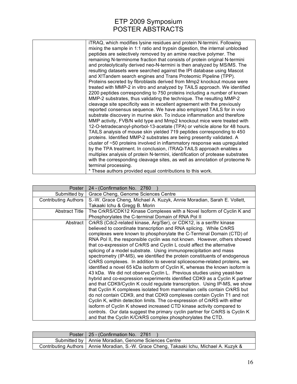| ITRAQ, which modifies lysine residues and protein N-termini. Following          |
|---------------------------------------------------------------------------------|
| mixing the sample in 1:1 ratio and trypsin digestion, the internal unblocked    |
| peptides are selectively removed by an amine reactive polymer. The              |
| remaining N-terminome fraction that consists of protein original N-termini      |
| and proteolytically derived neo-N-termini is then analyzed by MS/MS. The        |
| resulting datasets were searched against the IPI database using Mascot          |
| and X!Tandem search engines and Trans Proteomic Pipeline (TPP).                 |
| Proteins secreted by fibroblasts derived from Mmp2 knockout mouse were          |
| treated with MMP-2 in vitro and analyzed by TAILS approach. We identified       |
| 2200 peptides corresponding to 750 proteins including a number of known         |
| MMP-2 substrates, thus validating the technique. The resulting MMP-2            |
| cleavage site specificity was in excellent agreement with the previously        |
| reported consensus sequence. We have also employed TAILS for in vivo            |
| substrate discovery in murine skin. To induce inflammation and therefore        |
| MMP activity, FVB/N wild type and Mmp2 knockout mice were treated with          |
| 12-O-tetradecanoyl-phorbol-13-acetate (TPA) or vehicle alone for 48 hours.      |
| TAILS analysis of mouse skin yielded 719 peptides corresponding to 450          |
| proteins. Identified MMP-2 substrates are being presently validated. A          |
| cluster of $\sim$ 50 proteins involved in inflammatory response was upregulated |
| by the TPA treatment. In conclusion, iTRAQ-TAILS approach enables a             |
| multiplex analysis of protein N-termini, identification of protease substrates  |
| with the corresponding cleavage sites, as well as annotation of proteome N-     |
| terminal processing.                                                            |
| * These authors provided equal contributions to this work.                      |

| Poster                      | 24 - (Confirmation No. 2760                                                 |
|-----------------------------|-----------------------------------------------------------------------------|
| Submitted by                | Grace Cheng, Genome Sciences Centre                                         |
| <b>Contributing Authors</b> | S.-W. Grace Cheng, Michael A. Kuzyk, Annie Moradian, Sarah E. Vollett,      |
|                             | Takaaki Ichu & Gregg B. Morin                                               |
| <b>Abstract Title</b>       | The CrkRS/CDK12 Kinase Complexes with a Novel Isoform of Cyclin K and       |
|                             | Phosphorylates the C-terminal Domain of RNA Pol II                          |
| Abstract                    | CrkRS (Cdc2-related kinase, Arg/Ser), or CDK12, is a ser/thr kinase         |
|                             | believed to coordinate transcription and RNA splicing. While CrkRS          |
|                             | complexes were known to phosphorylate the C-Terminal Domain (CTD) of        |
|                             | RNA Pol II, the responsible cyclin was not known. However, others showed    |
|                             | that co-expression of CrkRS and Cyclin L could affect the alternative       |
|                             | splicing of a model substrate. Using immunoprecipitation and mass           |
|                             | spectrometry (IP-MS), we identified the protein constituents of endogenous  |
|                             | CrkRS complexes. In addition to several spliceosome-related proteins, we    |
|                             | identified a novel 65 kDa isoform of Cyclin K, whereas the known isoform is |
|                             | 43 kDa. We did not observe Cyclin L. Previous studies using yeast-two       |
|                             | hybrid and co-expression experiments identified CDK9 as a Cyclin K partner  |
|                             | and that CDK9/Cyclin K could regulate transcription. Using IP-MS, we show   |
|                             | that Cyclin K complexes isolated from mammalian cells contain CrkRS but     |
|                             | do not contain CDK9, and that CDK9 complexes contain Cyclin T1 and not      |
|                             | Cyclin K, within detection limits. The co-expression of CrkRS with either   |
|                             | isoform of Cyclin K showed increased CTD kinase activity compared to        |
|                             | controls. Our data suggest the primary cyclin partner for CrkRS is Cyclin K |
|                             | and that the Cyclin K/CrkRS complex phosphorylates the CTD.                 |

| Poster   25 - (Confirmation No. 2761)                                                      |
|--------------------------------------------------------------------------------------------|
| Submitted by   Annie Moradian, Genome Sciences Centre                                      |
| Contributing Authors   Annie Moradian, S.-W. Grace Cheng, Takaaki Ichu, Michael A. Kuzyk & |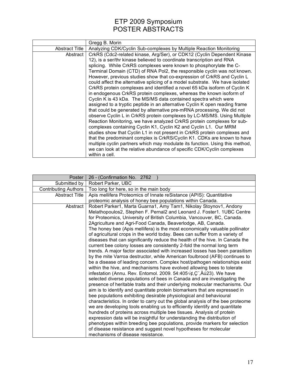|                | Gregg B. Morin                                                               |
|----------------|------------------------------------------------------------------------------|
| Abstract Title | Analyzing CDK/Cyclin Sub-complexes by Multiple Reaction Monitoring           |
| Abstract I     | CrkRS (Cdc2-related kinase, Arg/Ser), or CDK12 (Cyclin Dependent Kinase      |
|                | 12), is a ser/thr kinase believed to coordinate transcription and RNA        |
|                | splicing. While CrkRS complexes were known to phosphorylate the C-           |
|                | Terminal Domain (CTD) of RNA Pol2, the responsible cyclin was not known.     |
|                | However, previous studies show that co-expression of CrkRS and Cyclin L      |
|                | could affect the alternative splicing of a model substrate. We have isolated |
|                | CrkRS protein complexes and identified a novel 65 kDa isoform of Cyclin K    |
|                | in endogenous CrkRS protein complexes, whereas the known isoform of          |
|                | Cyclin K is 43 kDa. The MS/MS data contained spectra which were              |
|                | assigned to a tryptic peptide in an alternative Cyclin K open reading frame  |
|                | that could be generated by alternative pre-mRNA processing. We did not       |
|                | observe Cyclin L in CrkRS protein complexes by LC-MS/MS. Using Multiple      |
|                | Reaction Monitoring, we have analyzed CrkRS protein complexes for sub-       |
|                | complexes containing Cyclin K1, Cyclin K2 and Cyclin L1. Our MRM             |
|                | studies show that Cyclin L1 in not present in CrkRS protein complexes and    |
|                | that the predominant complex is CrkRS/Cyclin K1. CDKs are known to have      |
|                | multiple cyclin partners which may modulate its function. Using this method, |
|                | we can look at the relative abundance of specific CDK/Cyclin complexes       |
|                | within a cell.                                                               |

| Poster                      | 26 - (Confirmation No. 2762                                                                                                                                                                 |
|-----------------------------|---------------------------------------------------------------------------------------------------------------------------------------------------------------------------------------------|
| Submitted by                | Robert Parker, UBC                                                                                                                                                                          |
| <b>Contributing Authors</b> | Too long for here, so in the main body                                                                                                                                                      |
| <b>Abstract Title</b>       | Apis mellifera Proteomics of Innate reSistance (APIS): Quantitative                                                                                                                         |
|                             | proteomic analysis of honey bee populations within Canada.                                                                                                                                  |
| Abstract                    | Robert Parker1, Marta Guarna1, Amy Tam1, Nikolay Stoynov1, Andony                                                                                                                           |
|                             | Melathopoulos2, Stephen F. Pernal2 and Leonard J. Foster1. 1UBC Centre                                                                                                                      |
|                             | for Proteomics, University of British Columbia, Vancouver, BC, Canada.                                                                                                                      |
|                             | 2Agriculture and Agri-Food Canada, Beaverlodge, AB, Canada.                                                                                                                                 |
|                             | The honey bee (Apis mellifera) is the most economically valuable pollinator                                                                                                                 |
|                             | of agricultural crops in the world today. Bees can suffer from a variety of                                                                                                                 |
|                             | diseases that can significantly reduce the health of the hive. In Canada the                                                                                                                |
|                             | current bee colony losses are consistently 2-fold the normal long term                                                                                                                      |
|                             | trends. A major factor associated with increased losses has been parasitism                                                                                                                 |
|                             | by the mite Varroa destructor, while American foulbrood (AFB) continues to                                                                                                                  |
|                             | be a disease of leading concern. Complex host/pathogen relationships exist                                                                                                                  |
|                             | within the hive, and mechanisms have evolved allowing bees to tolerate                                                                                                                      |
|                             | infestation (Annu. Rev. Entomol. 2009. 54:405 $\sqrt{\phi}$ , $\phi$ , $\ddot{\phi}$ , $\ddot{\phi}$ ). We have<br>selected diverse populations of bees in Canada and are investigating the |
|                             | presence of heritable traits and their underlying molecular mechanisms. Our                                                                                                                 |
|                             | aim is to identify and quantitate protein biomarkers that are expressed in                                                                                                                  |
|                             | bee populations exhibiting desirable physiological and behavioural                                                                                                                          |
|                             | characteristics. In order to carry out the global analysis of the bee proteome                                                                                                              |
|                             | we are developing tools enabling us to efficiently identify and quantitate                                                                                                                  |
|                             | hundreds of proteins across multiple bee tissues. Analysis of protein                                                                                                                       |
|                             | expression data will be insightful for understanding the distribution of                                                                                                                    |
|                             | phenotypes within breeding bee populations, provide markers for selection                                                                                                                   |
|                             | of disease resistance and suggest novel hypotheses for molecular                                                                                                                            |
|                             | mechanisms of disease resistance.                                                                                                                                                           |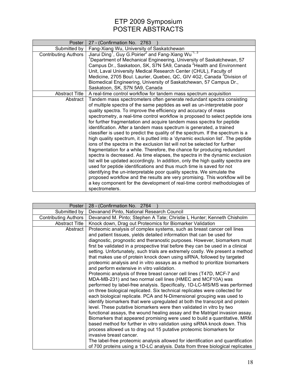| Poster                      | 27 - (Confirmation No. 2763                                                              |
|-----------------------------|------------------------------------------------------------------------------------------|
| Submitted by                | Fang-Xiang Wu, University of Saskatchewan                                                |
| <b>Contributing Authors</b> | Jiarui Ding <sup>1</sup> , Guy G. Poirier <sup>2</sup> and Fang-Xiang Wu <sup>1, 3</sup> |
|                             | <sup>1</sup> Department of Mechanical Engineering, University of Saskatchewan, 57        |
|                             | Campus Dr., Saskatoon, SK, S7N 5A9, Canada <sup>2</sup> Health and Environment           |
|                             | Unit, Laval University Medical Research Center (CHUL), Faculty of                        |
|                             | Medicine, 2705 Boul. Laurier, Quebec, QC, GIV 4G2, Canada <sup>3</sup> Division of       |
|                             | Biomedical Engineering, University of Saskatchewan, 57 Campus Dr.,                       |
|                             | Saskatoon, SK, S7N 5A9, Canada                                                           |
| <b>Abstract Title</b>       | A real-time control workflow for tandem mass spectrum acquisition                        |
| Abstract                    | Tandem mass spectrometers often generate redundant spectra consisting                    |
|                             | of multiple spectra of the same peptides as well as un-interpretable poor                |
|                             | quality spectra. To improve the efficiency and accuracy of mass                          |
|                             | spectrometry, a real-time control workflow is proposed to select peptide ions            |
|                             | for further fragmentation and acquire tandem mass spectra for peptide                    |
|                             | identification. After a tandem mass spectrum is generated, a trained                     |
|                             | classifier is used to predict the quality of the spectrum. If the spectrum is a          |
|                             | high quality spectrum, it is putted into a 'dynamic exclusion list'. The peptide         |
|                             | ions of the spectra in the exclusion list will not be selected for further               |
|                             | fragmentation for a while. Therefore, the chance for producing redundant                 |
|                             | spectra is decreased. As time elapses, the spectra in the dynamic exclusion              |
|                             | list will be updated accordingly. In addition, only the high quality spectra are         |
|                             | used for peptide identifications and thus much time is saved for not                     |
|                             | identifying the un-interpretable poor quality spectra. We simulate the                   |
|                             | proposed workflow and the results are very promising. This workflow will be              |
|                             | a key component for the development of real-time control methodologies of                |
|                             | spectrometers.                                                                           |

| Poster                      | 28 - (Confirmation No. 2764                                                                                                                                                                                                                                                                                                                                                                                                                                                                                                                                                                                                                                                                                                                                                                                                                                                                                  |
|-----------------------------|--------------------------------------------------------------------------------------------------------------------------------------------------------------------------------------------------------------------------------------------------------------------------------------------------------------------------------------------------------------------------------------------------------------------------------------------------------------------------------------------------------------------------------------------------------------------------------------------------------------------------------------------------------------------------------------------------------------------------------------------------------------------------------------------------------------------------------------------------------------------------------------------------------------|
| Submitted by                | Devanand Pinto, National Research Council                                                                                                                                                                                                                                                                                                                                                                                                                                                                                                                                                                                                                                                                                                                                                                                                                                                                    |
| <b>Contributing Authors</b> | Devanand M. Pinto; Stephen A Tate; Christie L Hunter; Kenneth Chisholm                                                                                                                                                                                                                                                                                                                                                                                                                                                                                                                                                                                                                                                                                                                                                                                                                                       |
| <b>Abstract Title</b>       | Knock down, Drag out Proteomics for Biomarker Validation                                                                                                                                                                                                                                                                                                                                                                                                                                                                                                                                                                                                                                                                                                                                                                                                                                                     |
| Abstract                    | Proteomic analysis of complex systems, such as breast cancer cell lines<br>and patient tissues, yields detailed information that can be used for<br>diagnostic, prognostic and theranostic purposes. However, biomarkers must<br>first be validated in a prospective trial before they can be used in a clinical<br>setting. Unfortunately, such trials are extremely costly. We present a method<br>that makes use of protein knock down using siRNA, followed by targeted<br>proteomic analysis and in vitro assays as a method to prioritize biomarkers<br>and perform extensive in vitro validation.<br>Proteomic analysis of three breast cancer cell lines (T47D, MCF-7 and<br>MDA-MB-231) and two normal cell lines (HMEC and MCF10A) was<br>performed by label-free analysis. Specifically, 1D-LC-MS/MS was performed<br>on three biological replicated. Six technical replicates were collected for |
|                             | each biological replicate. PCA and N-Dimensional grouping was used to<br>identify biomarkers that were upregulated at both the transcrpit and protein<br>level. These putative biomarkers were then validated in vitro by two<br>functional assays, the wound healing assay and the Matrigel invasion assay.<br>Biomarkers that appeared promising were used to build a quantitative, MRM<br>based method for further in vitro validation using siRNA knock down. This<br>process allowed us to drag out 15 putative proteomic biomarkers for<br>invasive breast cancer.<br>The label-free proteomic analysis allowed for identification and quantification<br>of 700 proteins using a 1D-LC analysis. Data from three biological replicates                                                                                                                                                                 |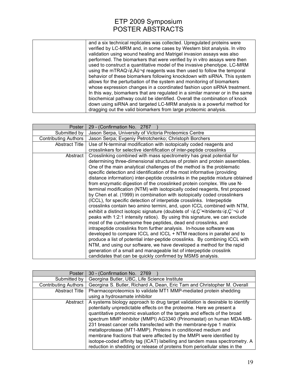| and a six technical replicates was collected. Upregulated proteins were                               |
|-------------------------------------------------------------------------------------------------------|
| verified by LC-MRM and, in some cases by Western blot analysis. In vitro                              |
| validation using wound healing and Matrigel invasion assays was also                                  |
| performed. The biomarkers that were verified by in vitro assays were then                             |
| used to construct a quantitative model of the invasive phenotype. LC-MRM                              |
| using the mTRAQ $\sqrt{\phi}$ , A $\hat{u}$ $\neg \phi$ reagents was then used to follow the temporal |
| behavior of these biomarkers following knockdown with siRNA. This system                              |
| allows for the perturbation of the system and monitoring of biomarkers                                |
| whose expression changes in a coordinated fashion upon siRNA treatment.                               |
| In this way, biomarkers that are regulated in a similar manner or in the same                         |
| biochemical pathway could be identified. Overall the combination of knock                             |
| down using siRNA and targeted LC-MRM analysis is a powerful method for                                |
| dragging out the valid biomarkers from large proteomic analysis.                                      |

| Poster                      | 29 - (Confirmation No. 2767                                                                                                   |
|-----------------------------|-------------------------------------------------------------------------------------------------------------------------------|
| Submitted by                | Jason Serpa, University of Victoria Proteomics Centre                                                                         |
| <b>Contributing Authors</b> | Jason Serpa; Evgeniy Petrotchenko; Christoph Borchers                                                                         |
| <b>Abstract Title</b>       | Use of N-terminal modification with isotopically coded reagents and                                                           |
|                             | crosslinkers for selective identification of inter-peptide crosslinks                                                         |
| Abstract                    | Crosslinking combined with mass spectrometry has great potential for                                                          |
|                             | determining three-dimensional structures of protein and protein assemblies.                                                   |
|                             | One of the main analytical challenges of the method is the problematic                                                        |
|                             | specific detection and identification of the most informative (providing                                                      |
|                             | distance information) inter-peptide crosslinks in the peptide mixture obtained                                                |
|                             | from enzymatic digestion of the crosslinked protein complex. We use N-                                                        |
|                             | terminal modification (NTM) with isotopically coded reagents, first proposed                                                  |
|                             | by Chen et al. (1999) in combination with isotopically coded crosslinkers                                                     |
|                             | (ICCL), for specific detection of interpetide crosslinks. Interpeptide                                                        |
|                             | crosslinks contain two amino termini, and, upon ICCL combined with NTM,                                                       |
|                             | exhibit a distinct isotopic signature (doublets of $\sqrt{\phi}$ , C $\approx$ itridents $\sqrt{\phi}$ , C $\rightarrow$ 0 of |
|                             | peaks with 1:2:1 intensity ratios). By using this signature, we can exclude                                                   |
|                             | most of the cumbersome free peptides, dead end crosslinks, and                                                                |
|                             | intrapeptide crosslinks from further analysis. In-house software was                                                          |
|                             | developed to compare ICCL and ICCL + NTM reactions in parallel and to                                                         |
|                             | produce a list of potential inter-peptide crosslinks. By combining ICCL with                                                  |
|                             | NTM, and using our software, we have developed a method for the rapid                                                         |
|                             | generation of a small and manageable list of interpeptide crosslink                                                           |
|                             | candidates that can be quickly confirmed by MSMS analysis.                                                                    |

| Poster                      | 30 - (Confirmation No. 2769                                                   |
|-----------------------------|-------------------------------------------------------------------------------|
| Submitted by                | Georgina Butler, UBC, Life Science Institute                                  |
| <b>Contributing Authors</b> | Georgina S. Butler, Richard A, Dean, Eric Tam and Christopher M. Overall      |
| <b>Abstract Title</b>       | Pharmacoproteomics to validate MT1 MMP-mediated protein shedding              |
|                             | using a hydroxamate inhibitor                                                 |
| Abstract                    | A systems biology approach to drug target validation is desirable to identify |
|                             | potentially unpredictable effects on the proteome. Here we present a          |
|                             | quantitative proteomic evaluation of the targets and effects of the broad     |
|                             | spectrum MMP inhibitor (MMPI) AG3340 (Prinomastat) on human MDA-MB-           |
|                             | 231 breast cancer cells transfected with the membrane-type 1 matrix           |
|                             | metalloprotease (MT1-MMP). Proteins in conditioned medium and                 |
|                             | membrane fractions that were affected by the MMPI were identified by          |
|                             | isotope-coded affinity tag (ICAT) labelling and tandem mass spectrometry. A   |
|                             | reduction in shedding or release of proteins from pericellular sites in the   |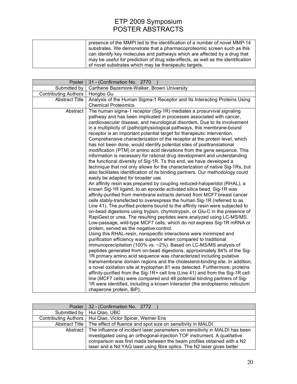| presence of the MMPI led to the identification of a number of novel MMP-14       |
|----------------------------------------------------------------------------------|
| substrates. We demonstrate that a pharmacoproteomic screen such as this          |
| can identify key molecules and pathways which are affected by a drug that        |
| may be useful for prediction of drug side-effects, as well as the identification |
| of novel substrates which may be therapeutic targets.                            |

| Poster                      | 31 - (Confirmation No. 2770                                                                                                                                      |
|-----------------------------|------------------------------------------------------------------------------------------------------------------------------------------------------------------|
| Submitted by                | Carthene Bazemore-Walker, Brown University                                                                                                                       |
| <b>Contributing Authors</b> | Hongbo Gu                                                                                                                                                        |
| <b>Abstract Title</b>       | Analysis of the Human Sigma-1 Receptor and Its Interacting Proteins Using                                                                                        |
|                             | <b>Chemical Proteomics</b>                                                                                                                                       |
| Abstract                    | The human sigma-1 receptor (Sig-1R) mediates a prosurvival signaling                                                                                             |
|                             | pathway and has been implicated in processes associated with cancer,                                                                                             |
|                             | cardiovascular disease, and neurological disorders. Due to its involvement                                                                                       |
|                             | in a multiplicity of (patho)physiological pathways, this membrane-bound                                                                                          |
|                             | receptor is an important potential target for therapeutic intervention.                                                                                          |
|                             | Comprehensive characterization of the receptor at the protein level, which                                                                                       |
|                             | has not been done, would identify potential sites of posttranslational                                                                                           |
|                             | modification (PTM) or amino acid deviations from the gene sequence. This                                                                                         |
|                             | information is necessary for rational drug development and understanding                                                                                         |
|                             | the functional diversity of Sig-1R. To this end, we have developed a                                                                                             |
|                             | technique that not only allows for the characterization of native Sig-1Rs, but<br>also facilitates identification of its binding partners. Our methodology could |
|                             | easily be adapted for broader use.                                                                                                                               |
|                             | An affinity resin was prepared by coupling reduced-haloperidol (RHAL), a                                                                                         |
|                             | known Sig-1R ligand, to an epoxide activated silica bead. Sig-1R was                                                                                             |
|                             | affinity-purified from membrane extracts derived from MCF7 breast cancer                                                                                         |
|                             | cells stably-transfected to overexpress the human Sig-1R (referred to as                                                                                         |
|                             | Line 41). The purified proteins bound to the affinity resin were subjected to                                                                                    |
|                             | on-bead digestions using trypsin, chymotrypsin, or Glu-C in the presence of                                                                                      |
|                             | RapiGest or urea. The resulting peptides were analyzed using LC-MS/MS.                                                                                           |
|                             | Low-passage, wild-type MCF7 cells, which do not express Sig-1R mRNA or                                                                                           |
|                             | protein, served as the negative control.                                                                                                                         |
|                             | Using this RHAL-resin, nonspecific interactions were minimized and                                                                                               |
|                             | purification efficiency was superior when compared to traditional                                                                                                |
|                             | immunoprecipitation (100% vs. ~2%). Based on LC-MS/MS analysis of                                                                                                |
|                             | peptides generated from on-bead digestions, approximately 84% of the Sig-                                                                                        |
|                             | 1R primary amino acid sequence was characterized including putative                                                                                              |
|                             | transmembrane domain regions and the cholesterol-binding site. In addition,                                                                                      |
|                             | a novel oxidation site at tryptophan 81 was detected. Furthermore, proteins                                                                                      |
|                             | affinity-purified from the Sig-1R+ cell line (Line 41) and from the Sig-1R cell                                                                                  |
|                             | line (MCF7 cells) were compared and 48 potential binding partners of Sig-                                                                                        |
|                             | 1R were identified, including a known interactor (the endoplasmic reticulum                                                                                      |
|                             | chaperone protein, BiP).                                                                                                                                         |

| Poster                      | 32 - (Confirmation No. 2772                                                 |
|-----------------------------|-----------------------------------------------------------------------------|
| Submitted by                | Hui Qiao, UBC                                                               |
| <b>Contributing Authors</b> | Hui Qiao, Victor Spicer, Werner Ens                                         |
| Abstract Title              | The effect of fluence and spot size on sensitivity in MALDI                 |
| Abstract                    | The influence of incident laser parameters on sensitivity in MALDI has been |
|                             | investigated using an orthogonal-injection TOF instrument. A qualitative    |
|                             | comparison was first made between the beam profiles obtained with a N2      |
|                             | laser and a Nd:YAG laser using fibre optics. The N2 laser gives better      |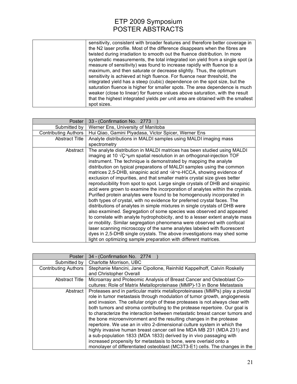| Poster                      | 33 - (Confirmation No. 2773                                                                                                                                                                                                                                                                                                                                                                                                                                                                                                                                                                                                                                                                                                                                                                                                                                                                                                                                                                                                                                                                                                                                                                                                                               |
|-----------------------------|-----------------------------------------------------------------------------------------------------------------------------------------------------------------------------------------------------------------------------------------------------------------------------------------------------------------------------------------------------------------------------------------------------------------------------------------------------------------------------------------------------------------------------------------------------------------------------------------------------------------------------------------------------------------------------------------------------------------------------------------------------------------------------------------------------------------------------------------------------------------------------------------------------------------------------------------------------------------------------------------------------------------------------------------------------------------------------------------------------------------------------------------------------------------------------------------------------------------------------------------------------------|
| Submitted by                | Werner Ens, University of Manitoba                                                                                                                                                                                                                                                                                                                                                                                                                                                                                                                                                                                                                                                                                                                                                                                                                                                                                                                                                                                                                                                                                                                                                                                                                        |
| <b>Contributing Authors</b> | Hui Qiao, Gamini Piyadasa, Victor Spicer, Werner Ens                                                                                                                                                                                                                                                                                                                                                                                                                                                                                                                                                                                                                                                                                                                                                                                                                                                                                                                                                                                                                                                                                                                                                                                                      |
| <b>Abstract Title</b>       | Analyte distributions in MALDI samples using MALDI imaging mass                                                                                                                                                                                                                                                                                                                                                                                                                                                                                                                                                                                                                                                                                                                                                                                                                                                                                                                                                                                                                                                                                                                                                                                           |
|                             | spectrometry                                                                                                                                                                                                                                                                                                                                                                                                                                                                                                                                                                                                                                                                                                                                                                                                                                                                                                                                                                                                                                                                                                                                                                                                                                              |
| Abstract                    | The analyte distribution in MALDI matrices has been studied using MALDI<br>imaging at 10 $\sqrt{C}$ um spatial resolution in an orthogonal-injection TOF<br>instrument. The technique is demonstrated by mapping the analyte<br>distribution on typical preparations of MALDI samples using the common<br>matrices 2,5-DHB, sinapinic acid and α-HCCA, showing evidence of<br>exclusion of impurities, and that smaller matrix crystal size gives better<br>reproducibility from spot to spot. Large single crystals of DHB and sinapinic<br>acid were grown to examine the incorporation of analytes within the crystals.<br>Purified protein analytes were found to be homogenously incorporated in<br>both types of crystal, with no evidence for preferred crystal faces. The<br>distributions of analytes in simple mixtures in single crystals of DHB were<br>also examined. Segregation of some species was observed and appeared<br>to correlate with analyte hydrophobicity, and to a lesser extent analyte mass<br>or mobility. Similar segregation phenomena were observed with confocal<br>laser scanning microscopy of the same analytes labeled with fluorescent<br>dyes in 2,5-DHB single crystals. The above investigations may shed some |
|                             | light on optimizing sample preparation with different matrices.                                                                                                                                                                                                                                                                                                                                                                                                                                                                                                                                                                                                                                                                                                                                                                                                                                                                                                                                                                                                                                                                                                                                                                                           |

| Poster                      | 34 - (Confirmation No. 2774                                                                                                                                                                                                                                                                                                                                                                                                                                                                                                                                                                                                                                                                                                                                                                                                                                    |
|-----------------------------|----------------------------------------------------------------------------------------------------------------------------------------------------------------------------------------------------------------------------------------------------------------------------------------------------------------------------------------------------------------------------------------------------------------------------------------------------------------------------------------------------------------------------------------------------------------------------------------------------------------------------------------------------------------------------------------------------------------------------------------------------------------------------------------------------------------------------------------------------------------|
| Submitted by                | Charlotte Morrison, UBC                                                                                                                                                                                                                                                                                                                                                                                                                                                                                                                                                                                                                                                                                                                                                                                                                                        |
| <b>Contributing Authors</b> | Stephanie Mancini, Jane Cipollone, Reinhild Kappelhoff, Calvin Roskelly<br>and Christopher Overall                                                                                                                                                                                                                                                                                                                                                                                                                                                                                                                                                                                                                                                                                                                                                             |
| <b>Abstract Title</b>       | Microarray and Proteomic Analysis of Breast Cancer and Osteoblast Co-<br>cultures: Role of Matrix Metalloproteinase (MMP)-13 in Bone Metastasis                                                                                                                                                                                                                                                                                                                                                                                                                                                                                                                                                                                                                                                                                                                |
| Abstract                    | Proteases and in particular matrix metalloproteinases (MMPs) play a pivotal<br>role in tumor metastasis through modulation of tumor growth, angiogenesis<br>and invasion. The cellular origin of these proteases is not always clear with<br>both tumors and stroma contributing to the protease repertoire. Our goal is<br>to characterize the interaction between metastatic breast cancer tumors and<br>the bone microenvironment and the resulting changes in the protease<br>repertoire. We use an in vitro 2-dimensional culture system in which the<br>highly invasive human breast cancer cell line MDA MB 231 (MDA 231) and<br>a sub-population 1833 (MDA 1833) derived by in vivo passaging with<br>increased propensity for metastasis to bone, were overlaid onto a<br>monolayer of differentiated osteoblast (MC3T3-E1) cells. The changes in the |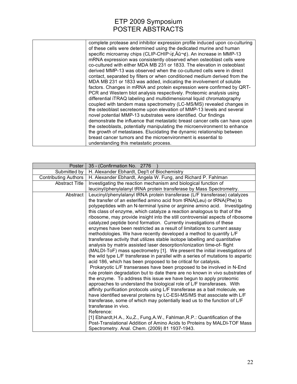| complete protease and inhibitor expression profile induced upon co-culturing                    |
|-------------------------------------------------------------------------------------------------|
| of these cells were determined using the dedicated murine and human                             |
| specific microarray chips (CLIP-CHIP $\sqrt{\phi}$ , $\angle$ Au $\pi$ ). An increase in MMP-13 |
| mRNA expression was consistently observed when osteoblast cells were                            |
| co-cultured with either MDA MB 231 or 1833. The elevation in osteoblast                         |
| derived MMP-13 was observed when the co-cultured cells were in direct                           |
| contact, separated by filters or when conditioned medium derived from the                       |
| MDA MB 231 or 1833 was added, indicating the involvement of soluble                             |
| factors. Changes in mRNA and protein expression were confirmed by QRT-                          |
| PCR and Western blot analysis respectively. Proteomic analysis using                            |
| differential iTRAQ labeling and multidimensional liquid chromatography                          |
| coupled with tandem mass spectrometry (LC-MS/MS) revealed changes in                            |
| the osteoblast secreteome upon elevation of MMP-13 levels and several                           |
| novel potential MMP-13 substrates were identified. Our findings                                 |
| demonstrate the influence that metastatic breast cancer cells can have upon                     |
| the osteoblasts, potentially manipulating the microenvironment to enhance                       |
| the growth of metastases. Elucidating the dynamic relationship between                          |
| breast cancer tumors and the microenvironment is essential to                                   |
| understanding this metastatic process.                                                          |
|                                                                                                 |

| Poster                      | 35 - (Confirmation No. 2776                                                                                                                             |
|-----------------------------|---------------------------------------------------------------------------------------------------------------------------------------------------------|
| Submitted by                | H. Alexander Ebhardt, Dep't of Biochemistry                                                                                                             |
| <b>Contributing Authors</b> | H. Alexander Ebhardt, Angela W. Fung, and Richard P. Fahlman                                                                                            |
| <b>Abstract Title</b>       | Investigating the reaction mechanism and biological function of                                                                                         |
|                             | leucinyl/phenylalanyl tRNA protein transferase by Mass Spectrometry.                                                                                    |
| Abstract                    | Leucinyl/phenylalanyl tRNA protein transferase (L/F transferase) catalyzes                                                                              |
|                             | the transfer of an esterified amino acid from tRNA(Leu) or tRNA(Phe) to                                                                                 |
|                             | polypeptides with an N-terminal lysine or arginine amino acid. Investigating                                                                            |
|                             | this class of enzyme, which catalyze a reaction analogous to that of the                                                                                |
|                             | ribosome, may provide insight into the still controversial aspects of ribosome                                                                          |
|                             | catalyzed peptide bond formation. Currently investigations of these                                                                                     |
|                             | enzymes have been restricted as a result of limitations to current assay                                                                                |
|                             | methodologies. We have recently developed a method to quantify L/F                                                                                      |
|                             | transferase activity that utilizes stable isotope labelling and quantitative<br>analysis by matrix assisted laser desorption/ionization time-of- flight |
|                             | (MALDI-ToF) mass spectrometry [1]. We present the initial investigations of                                                                             |
|                             | the wild type L/F transferase in parallel with a series of mutations to aspartic                                                                        |
|                             | acid 186, which has been proposed to be critical for catalysis.                                                                                         |
|                             | Prokaryotic L/F transerases have been proposed to be involved in N-End                                                                                  |
|                             | rule protein degradation but to date there are no known in vivo substrates of                                                                           |
|                             | the enzyme. To address this issue we have begun to apply proteomic                                                                                      |
|                             | approaches to understand the biological role of L/F transferases. With                                                                                  |
|                             | affinity purification protocols using L/F transferase as a bait molecule, we                                                                            |
|                             | have identified several proteins by LC-ESI-MS/MS that associate with L/F                                                                                |
|                             | transferase, some of which may potentially lead us to the function of L/F                                                                               |
|                             | transferase in vivo.                                                                                                                                    |
|                             | Reference:                                                                                                                                              |
|                             | [1] Ebhardt, H.A., Xu, Z., Fung, A.W., Fahlman, R.P.: Quantification of the                                                                             |
|                             | Post-Translational Addition of Amino Acids to Proteins by MALDI-TOF Mass                                                                                |
|                             | Spectrometry. Anal. Chem. (2009) 81 1937-1943.                                                                                                          |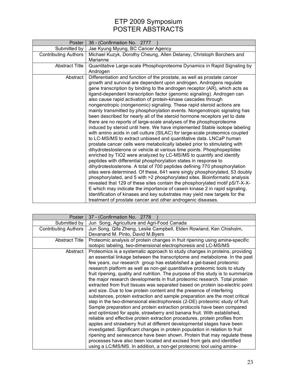| Poster                | 36 - (Confirmation No. 2777                                                                                                                                                                                                                                                                                                                                                                                                                                                                                                                                                                                                                                                                                                                                                                                                                                                                                                                                                                                                                                                                                                                                                                                                                                                                                                                                                                                                                                                                                                                                                                                                                                                                                                                                                    |
|-----------------------|--------------------------------------------------------------------------------------------------------------------------------------------------------------------------------------------------------------------------------------------------------------------------------------------------------------------------------------------------------------------------------------------------------------------------------------------------------------------------------------------------------------------------------------------------------------------------------------------------------------------------------------------------------------------------------------------------------------------------------------------------------------------------------------------------------------------------------------------------------------------------------------------------------------------------------------------------------------------------------------------------------------------------------------------------------------------------------------------------------------------------------------------------------------------------------------------------------------------------------------------------------------------------------------------------------------------------------------------------------------------------------------------------------------------------------------------------------------------------------------------------------------------------------------------------------------------------------------------------------------------------------------------------------------------------------------------------------------------------------------------------------------------------------|
| Submitted by          | Jae Kyung Myung, BC Cancer Agency                                                                                                                                                                                                                                                                                                                                                                                                                                                                                                                                                                                                                                                                                                                                                                                                                                                                                                                                                                                                                                                                                                                                                                                                                                                                                                                                                                                                                                                                                                                                                                                                                                                                                                                                              |
| Contributing Authors  | Michael Kuzyk, Dorothy Cheung, Allen Delaney, Christoph Borchers and                                                                                                                                                                                                                                                                                                                                                                                                                                                                                                                                                                                                                                                                                                                                                                                                                                                                                                                                                                                                                                                                                                                                                                                                                                                                                                                                                                                                                                                                                                                                                                                                                                                                                                           |
|                       | Marianne                                                                                                                                                                                                                                                                                                                                                                                                                                                                                                                                                                                                                                                                                                                                                                                                                                                                                                                                                                                                                                                                                                                                                                                                                                                                                                                                                                                                                                                                                                                                                                                                                                                                                                                                                                       |
| <b>Abstract Title</b> | Quantitative Large-scale Phosphoproteome Dynamics in Rapid Signaling by<br>Androgen                                                                                                                                                                                                                                                                                                                                                                                                                                                                                                                                                                                                                                                                                                                                                                                                                                                                                                                                                                                                                                                                                                                                                                                                                                                                                                                                                                                                                                                                                                                                                                                                                                                                                            |
| Abstract              | Differentiation and function of the prostate, as well as prostate cancer<br>growth and survival are dependent upon androgen. Androgens regulate<br>gene transcription by binding to the androgen receptor (AR), which acts as<br>ligand-dependent transcription factor (genomic signaling). Androgen can<br>also cause rapid activation of protein-kinase cascades through<br>nongenotropic (nongenomic) signaling. These rapid steroid actions are<br>mainly transmitted by phosphorylation events. Nongenotropic signaling has<br>been described for nearly all of the steroid hormone receptors yet to date<br>there are no reports of large-scale analyses of the phosphoproteome<br>induced by steroid until here. We have implemented Stable isotope labeling<br>with amino acids in cell culture (SILAC) for large-scale proteomics coupled<br>to LC-MS/MS to extract unbiased and quantitative data. LNCaP human<br>prostate cancer cells were metabolically labeled prior to stimulating with<br>dihydrotestosterone or vehicle at various time points. Phosphopeptides<br>enriched by TiO2 were analyzed by LC-MS/MS to quantify and identify<br>peptides with differential phosphorylation states in response to<br>dihydrotestosterone. A total of 700 peptides defining 770 phosphorylation<br>sites were determined. Of these, 641 were singly phosphorylated, 53 doubly<br>phosphorylated, and 5 with >2 phosphorylated sites. Bioinformatic analysis<br>revealed that 129 of these sites contain the phosphorylated motif pS/T-X-X-<br>E which may indicate the importance of casein kinase 2 in rapid signaling.<br>Identification of kinases and key substrates may yield new targets for the<br>treatment of prostate cancer and other androgenic diseases. |

| Poster                      | 37 - (Confirmation No. 2778                                                      |
|-----------------------------|----------------------------------------------------------------------------------|
| Submitted by                | Jun Song, Agriculture and Agri-Food Canada                                       |
| <b>Contributing Authors</b> | Jun Song, Qifa Zheng, Leslie Campbell, Elden Rowland, Ken Chisholm,              |
|                             | Devanand M. Pinto, David M.Byers                                                 |
| <b>Abstract Title</b>       | Proteomic analysis of protein changes in fruit ripening using amine-specific     |
|                             | isotopic labeling, two-dimensional electrophoresis and LC-MS/MS                  |
| Abstract                    | Proteomics is a systematic approach to study changes in proteins, providing      |
|                             | an essential linkage between the transcriptome and metabolome. In the past       |
|                             | few years, our research group has established a gel-based proteomic              |
|                             | research platform as well as non-gel quantitative proteomic tools to study       |
|                             | fruit ripening, quality and nutrition. The purpose of this study is to summarize |
|                             | the major research developments in fruit proteomic research. Total protein       |
|                             | extracted from fruit tissues was separated based on protein iso-electric point   |
|                             | and size. Due to low protein content and the presence of interfering             |
|                             | substances, protein extraction and sample preparation are the most critical      |
|                             | step in the two-dimensional electrophoresis (2-DE) proteomic study of fruit.     |
|                             | Sample preparation and protein extraction protocols have been compared           |
|                             | and optimized for apple, strawberry and banana fruit. With established,          |
|                             | reliable and effective protein extraction procedures, protein profiles from      |
|                             | apples and strawberry fruit at different developmental stages have been          |
|                             | investigated. Significant changes in protein population in relation to fruit     |
|                             | ripening and senescence have been shown. Protein that may regulate these         |
|                             | processes have also been located and excised from gels and identified            |
|                             | using a LC/MS/MS. In addition, a non-gel proteomic tool using amine-             |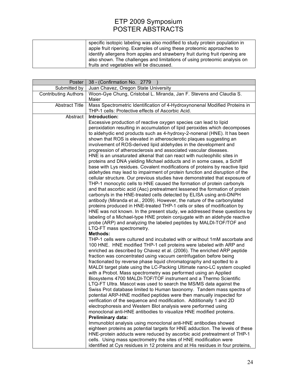| specific isotopic labeling was also modified to study protein population in   |
|-------------------------------------------------------------------------------|
| apple fruit ripening. Examples of using these proteomic approaches to         |
| identify allergens from apples and strawberry fruit during fruit ripening are |
| also shown. The challenges and limitations of using proteomic analysis on     |
| fruits and vegetables will be discussed.                                      |

| Poster                      | 38 - (Confirmation No. 2779                                                                                                                 |
|-----------------------------|---------------------------------------------------------------------------------------------------------------------------------------------|
| Submitted by                | Juan Chavez, Oregon State University                                                                                                        |
| <b>Contributing Authors</b> | Woon-Gye Chung, Cristobal L. Miranda, Jan F. Stevens and Claudia S.                                                                         |
|                             | Maier                                                                                                                                       |
| <b>Abstract Title</b>       | Mass Spectrometric Identification of 4-Hydroxynonenal Modified Proteins in                                                                  |
|                             | THP-1 cells: Protective effects of Ascorbic Acid.                                                                                           |
| Abstract                    | Introduction:                                                                                                                               |
|                             | Excessive production of reactive oxygen species can lead to lipid                                                                           |
|                             | peroxidation resulting in accumulation of lipid peroxides which decomposes                                                                  |
|                             | to aldehydic end products such as 4-hydroxy-2-nonenal (HNE). It has been                                                                    |
|                             | shown that ROS is elevated in atherosclerotic plaques suggesting an                                                                         |
|                             | involvement of ROS-derived lipid aldehydes in the development and                                                                           |
|                             | progression of atherosclerosis and associated vascular diseases.<br>HNE is an unsaturated alkenal that can react with nucleophilic sites in |
|                             | proteins and DNA yielding Michael adducts and in some cases, a Schiff                                                                       |
|                             | base with Lys residues. Covalent modifications of proteins by reactive lipid                                                                |
|                             | aldehydes may lead to impairment of protein function and disruption of the                                                                  |
|                             | cellular structure. Our previous studies have demonstrated that exposure of                                                                 |
|                             | THP-1 monocytic cells to HNE caused the formation of protein carbonyls                                                                      |
|                             | and that ascorbic acid (Asc) pretreatment lessened the formation of protein                                                                 |
|                             | carbonyls in the HNE-treated cells detected by ELISA using anti-DNPH                                                                        |
|                             | antibody (Miranda et al., 2009). However, the nature of the carbonylated                                                                    |
|                             | proteins produced in HNE-treated THP-1 cells or sites of modification by                                                                    |
|                             | HNE was not known. In the present study, we addressed these questions by                                                                    |
|                             | labeling of a Michael-type HNE protein conjugate with an aldehyde reactive                                                                  |
|                             | probe (ARP) and analyzing the labeled peptides by MALDI-TOF/TOF and<br>LTQ-FT mass spectrometry.                                            |
|                             | <b>Methods:</b>                                                                                                                             |
|                             | THP-1 cells were cultured and incubated with or without 1mM ascorbate and                                                                   |
|                             | 100 HNE. HNE modified THP-1 cell proteins were labeled with ARP and                                                                         |
|                             | enriched as described by Chavez et al. (2006). The enriched ARP peptide                                                                     |
|                             | fraction was concentrated using vacuum centrifugation before being                                                                          |
|                             | fractionated by reverse phase liquid chromatography and spotted to a                                                                        |
|                             | MALDI target plate using the LC-Packing Ultimate nano-LC system coupled                                                                     |
|                             | with a Probot. Mass spectrometry was performed using an Applied                                                                             |
|                             | Biosystems 4700 MALDI-TOF/TOF instrument and a Thermo Scientific                                                                            |
|                             | LTQ-FT Ultra. Mascot was used to search the MS/MS data against the                                                                          |
|                             | Swiss Prot database limited to Human taxonomy. Tandem mass spectra of                                                                       |
|                             | potential ARP-HNE modified peptides were then manually inspected for                                                                        |
|                             | verification of the sequence and modification. Additionally 1 and 2D                                                                        |
|                             | electrophoresis and Western Blot analysis were performed using<br>monoclonal anti-HNE antibodies to visualize HNE modified proteins.        |
|                             | Preliminary data:                                                                                                                           |
|                             | Immunoblot analysis using monoclonal anti-HNE antibodies showed                                                                             |
|                             | eighteen proteins as potential targets for HNE adduction. The levels of these                                                               |
|                             | HNE-protein adducts were reduced by ascorbic acid pretreatment of THP-1                                                                     |
|                             | cells. Using mass spectrometry the sites of HNE modification were                                                                           |
|                             | identified at Cys residues in 12 proteins and at His residues in four proteins,                                                             |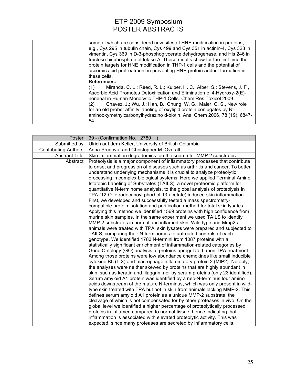| some of which are considered new sites of HNE modification in proteins,       |
|-------------------------------------------------------------------------------|
| e.g., Cys 295 in tubulin chain, Cys 499 and Cys 351 in actinin-4, Cys 328 in  |
| vimentin, Cys 369 in D-3-phosphoglycerate dehydrogenase, and His 246 in       |
| fructose-bisphosphate aldolase A. These results show for the first time the   |
| protein targets for HNE modification in THP-1 cells and the potential of      |
| ascorbic acid pretreatment in preventing HNE-protein adduct formation in      |
| these cells.                                                                  |
| <b>References:</b>                                                            |
| Miranda, C. L.; Reed, R. L.; Kuiper, H. C.; Alber, S.; Stevens, J. F.,<br>(1) |
| Ascorbic Acid Promotes Detoxification and Elimination of 4-Hydroxy-2(E)-      |
| nonenal in Human Monocytic THP-1 Cells. Chem Res Toxicol 2009.                |
| Chavez, J.; Wu, J.; Han, B.; Chung, W. G.; Maier, C. S., New role<br>(2)      |
| for an old probe: affinity labeling of oxylipid protein conjugates by N'-     |
| aminooxymethylcarbonylhydrazino d-biotin. Anal Chem 2006, 78 (19), 6847-      |
| 54.                                                                           |
|                                                                               |

| Poster                      | 39 - (Confirmation No. 2780                                                                                                                                                                                                                                                                                                                                                                                                                                                                                                                                                                                                                                                                                                                                                                                                                                                                                                                                                                                                                                                                                                                                                                                                                          |
|-----------------------------|------------------------------------------------------------------------------------------------------------------------------------------------------------------------------------------------------------------------------------------------------------------------------------------------------------------------------------------------------------------------------------------------------------------------------------------------------------------------------------------------------------------------------------------------------------------------------------------------------------------------------------------------------------------------------------------------------------------------------------------------------------------------------------------------------------------------------------------------------------------------------------------------------------------------------------------------------------------------------------------------------------------------------------------------------------------------------------------------------------------------------------------------------------------------------------------------------------------------------------------------------|
| Submitted by                | Ulrich auf dem Keller, University of British Columbia                                                                                                                                                                                                                                                                                                                                                                                                                                                                                                                                                                                                                                                                                                                                                                                                                                                                                                                                                                                                                                                                                                                                                                                                |
| <b>Contributing Authors</b> | Anna Prudova, and Christopher M. Overall                                                                                                                                                                                                                                                                                                                                                                                                                                                                                                                                                                                                                                                                                                                                                                                                                                                                                                                                                                                                                                                                                                                                                                                                             |
| <b>Abstract Title</b>       | Skin inflammation degradomics: on the search for MMP-2 substrates                                                                                                                                                                                                                                                                                                                                                                                                                                                                                                                                                                                                                                                                                                                                                                                                                                                                                                                                                                                                                                                                                                                                                                                    |
| Abstract                    | Proteolysis is a major component of inflammatory processes that contribute<br>to onset and progression of diseases such as arthritis and cancer. To better<br>understand underlying mechanisms it is crucial to analyze proteolytic<br>processing in complex biological systems. Here we applied Terminal Amine<br>Istotopic Labeling of Substrates (TAILS), a novel proteomic platform for<br>quantitative N-terminome analysis, to the global analysis of proteolysis in<br>TPA (12-O-tetradecanoyl-phorbol-13-acetate) induced skin inflammation.<br>First, we developed and successfully tested a mass spectrometry-<br>compatible protein isolation and purification method for total skin lysates.<br>Applying this method we identified 1569 proteins with high confidence from<br>murine skin samples. In the same experiment we used TAILS to identify<br>MMP-2 substrates in normal and inflamed skin. Wild-type and Mmp2-/-<br>animals were treated with TPA, skin lysates were prepared and subjected to<br>TAILS, comparing their N-terminomes to untreated controls of each                                                                                                                                                            |
|                             | genotype. We identified 1783 N-termini from 1087 proteins with a<br>statistically significant enrichment of inflammation-related categories by<br>Gene Ontology (GO) analysis of proteins upregulated upon TPA treatment.<br>Among those proteins were low abundance chemokines like small inducible<br>cytokine B5 (LIX) and macrophage inflammatory protein 2 (MIP2). Notably,<br>the analyses were neither skewed by proteins that are highly abundant in<br>skin, such as keratin and filaggrin, nor by serum proteins (only 23 identified).<br>Serum amyloid A1 protein was identified by a neo-N-terminus four amino<br>acids downstream of the mature N-terminus, which was only present in wild-<br>type skin treated with TPA but not in skin from animals lacking MMP-2. This<br>defines serum amyloid A1 protein as a unique MMP-2 substrate, the<br>cleavage of which is not compensated for by other proteases in vivo. On the<br>global level we identified a higher percentage of proteolytically processed<br>proteins in inflamed compared to normal tissue, hence indicating that<br>inflammation is associated with elevated proteolytic activity. This was<br>expected, since many proteases are secreted by inflammatory cells. |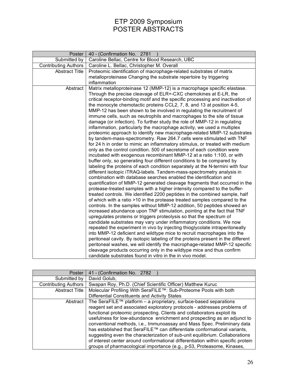| Poster                | 40 - (Confirmation No. 2781                                                                                                                                                                                                                                                                                                                                                                                                                                                                                                                                                                                                                                                                                                                                                                                                                                                                                                                                                                                                                                                                                                                                                                                                              |
|-----------------------|------------------------------------------------------------------------------------------------------------------------------------------------------------------------------------------------------------------------------------------------------------------------------------------------------------------------------------------------------------------------------------------------------------------------------------------------------------------------------------------------------------------------------------------------------------------------------------------------------------------------------------------------------------------------------------------------------------------------------------------------------------------------------------------------------------------------------------------------------------------------------------------------------------------------------------------------------------------------------------------------------------------------------------------------------------------------------------------------------------------------------------------------------------------------------------------------------------------------------------------|
| Submitted by          | Caroline Bellac, Centre for Blood Research, UBC                                                                                                                                                                                                                                                                                                                                                                                                                                                                                                                                                                                                                                                                                                                                                                                                                                                                                                                                                                                                                                                                                                                                                                                          |
| Contributing Authors  | Caroline L. Bellac, Christopher M. Overall                                                                                                                                                                                                                                                                                                                                                                                                                                                                                                                                                                                                                                                                                                                                                                                                                                                                                                                                                                                                                                                                                                                                                                                               |
| <b>Abstract Title</b> | Proteomic identification of macrophage-related substrates of matrix                                                                                                                                                                                                                                                                                                                                                                                                                                                                                                                                                                                                                                                                                                                                                                                                                                                                                                                                                                                                                                                                                                                                                                      |
|                       | metalloproteinase Changing the substrate repertoire by triggering                                                                                                                                                                                                                                                                                                                                                                                                                                                                                                                                                                                                                                                                                                                                                                                                                                                                                                                                                                                                                                                                                                                                                                        |
|                       | inflammation                                                                                                                                                                                                                                                                                                                                                                                                                                                                                                                                                                                                                                                                                                                                                                                                                                                                                                                                                                                                                                                                                                                                                                                                                             |
| Abstract              | Matrix metalloproteinase 12 (MMP-12) is a macrophage specific elastase.<br>Through the precise cleavage of ELR+-CXC chemokines at E-LR, the<br>critical receptor-binding motif and the specific processing and inactivation of<br>the monocyte chemotactic proteins CCL2, 7, 8, and 13 at position 4-5,<br>MMP-12 has been shown to be involved in regulating the recruitment of<br>immune cells, such as neutrophils and macrophages to the site of tissue<br>damage (or infection). To further study the role of MMP-12 in regulating<br>inflammation, particularly the macrophage activity, we used a multiplex<br>proteomic approach to identify new macrophage-related MMP-12 substrates<br>by tandem-mass-spectrometry. Raw 264.7 cells were stimulated with TNF<br>for 24 h in order to mimic an inflammatory stimulus, or treated with medium<br>only as the control condition. 500 of secretome of each condition were<br>incubated with exogenous recombinant MMP-12 at a ratio 1:100, or with<br>buffer only, so generating four different conditions to be compared by<br>labeling the proteins of each condition separately at the N-termini with four                                                                      |
|                       | different isotopic iTRAQ-labels. Tandem-mass-spectrometry analysis in<br>combination with database searches enabled the identification and<br>quantification of MMP-12 generated cleavage fragments that occurred in the<br>protease-treated samples with a higher intensity compared to the buffer-<br>treated controls. We identified 2200 peptides in the combined sample, half<br>of which with a ratio >10 in the protease treated samples compared to the<br>controls. In the samples without MMP-12 addition, 50 peptides showed an<br>increased abundance upon TNF stimulation, pointing at the fact that TNF<br>upregulates proteins or triggers proteolysis so that the spectrum of<br>candidate substrates may vary under inflammatory conditions. We now<br>repeated the experiment in vivo by injecting thioglycolate intraperitoneally<br>into MMP-12 deficient and wildtype mice to recruit macrophages into the<br>peritoneal cavity. By isotopic labeling of the proteins present in the different<br>peritoneal washes, we will identify the macrophage-related MMP-12 specific<br>cleavage products occurring only in the wildtype mice and thus confirm<br>candidate substrates found in vitro in the in vivo model. |

| Poster                      | 41 - (Confirmation No. 2782                                                      |
|-----------------------------|----------------------------------------------------------------------------------|
| Submitted by                | David Golub,                                                                     |
| <b>Contributing Authors</b> | Swapan Roy, Ph.D. (Chief Scientific Officer) Matthew Kuruc                       |
| <b>Abstract Title</b>       | Molecular Profiling With SeraFILE™: Sub-Proteome Pools with both                 |
|                             | Differential Constituents and Activity States                                    |
| Abstract                    | The SeraFILE $M$ platform – a proprietary, surface-based separations             |
|                             | reagent set and associated exploratory protocols - addresses problems of         |
|                             | functional proteomic prospecting. Clients and collaborators exploit its          |
|                             | usefulness for low-abundance enrichment and prospecting as an adjunct to         |
|                             | conventional methods, i.e., Immunoassay and Mass Spec. Preliminary data          |
|                             | has established that SeraFILE™ can differentiate conformational variants,        |
|                             | suggesting even the characterization of sub-unit equilibrium. Collaborations     |
|                             | of interest center around conformational differentiation within specific protein |
|                             | groups of pharmacological importance (e.g., p-53, Proteasome, Kinases,           |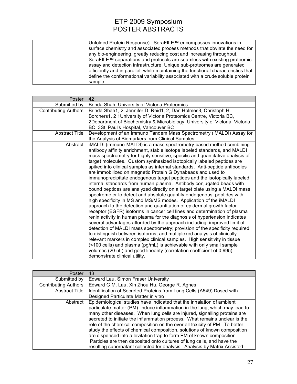| Unfolded Protein Response). SeraFILE™ encompasses innovations in                   |
|------------------------------------------------------------------------------------|
| surface chemistry and associated process methods that obviate the need for         |
| any bio-engineering, greatly reducing cost and increasing throughput.              |
| SeraFILE™ separations and protocols are seamless with existing proteomic           |
| assay and detection infrastructure. Unique sub-proteomes are generated             |
| efficiently and in parallel, while maintaining the functional characteristics that |
| define the conformational variability associated with a crude soluble protein      |
| sample.                                                                            |

| Poster                      | 42                                                                                                                                                |
|-----------------------------|---------------------------------------------------------------------------------------------------------------------------------------------------|
| Submitted by                | Brinda Shah, University of Victoria Proteomics                                                                                                    |
| <b>Contributing Authors</b> | Brinda Shah1, 2, Jennifer D. Reid1, 2, Dan Holmes3, Christoph H.                                                                                  |
|                             | Borchers1, 2 1 University of Victoria Proteomics Centre, Victoria BC,                                                                             |
|                             | 2Department of Biochemistry & Microbiology, University of Victoria, Victoria                                                                      |
|                             | BC, 3St. Paul's Hospital, Vancouver BC                                                                                                            |
| <b>Abstract Title</b>       | Development of an Immuno Tandem Mass Spectrometry (iMALDI) Assay for                                                                              |
|                             | the Analysis of Biomarkers from Clinical Samples                                                                                                  |
| Abstract                    | iMALDI (immuno-MALDI) is a mass spectrometry-based method combining                                                                               |
|                             | antibody affinity enrichment, stable isotope labeled standards, and MALDI                                                                         |
|                             | mass spectrometry for highly sensitive, specific and quantitative analysis of                                                                     |
|                             | target molecules. Custom synthesized isotopically labeled peptides are                                                                            |
|                             | spiked into clinical samples as internal standards. Anti-peptide antibodies                                                                       |
|                             | are immobilized on magnetic Protein G Dynabeads and used to                                                                                       |
|                             | immunoprecipitate endogenous target peptides and the isotopically labeled<br>internal standards from human plasma. Antibody conjugated beads with |
|                             | bound peptides are analyzed directly on a target plate using a MALDI mass                                                                         |
|                             | spectrometer to detect and absolute quantify endogenous peptides with                                                                             |
|                             | high specificity in MS and MS/MS modes. Application of the iMALDI                                                                                 |
|                             | approach to the detection and quantitation of epidermal growth factor                                                                             |
|                             | receptor (EGFR) isoforms in cancer cell lines and determination of plasma                                                                         |
|                             | renin activity in human plasma for the diagnosis of hypertension indicates                                                                        |
|                             | several advantages afforded by the approach including: improved limit of                                                                          |
|                             | detection of MALDI mass spectrometry; provision of the specificity required                                                                       |
|                             | to distinguish between isoforms; and multiplexed analysis of clinically                                                                           |
|                             | relevant markers in complex clinical samples. High sensitivity in tissue                                                                          |
|                             | (<100 cells) and plasma (pg/mL) is achievable with only small sample                                                                              |
|                             | volumes (20 uL) and good linearity (correlation coefficient of 0.995)                                                                             |
|                             | demonstrate clinical utility.                                                                                                                     |

| Poster                      | 43                                                                                                                                                                                                                                                                                                                                                                                                                                                                                                                                                                                                                                                                                                        |
|-----------------------------|-----------------------------------------------------------------------------------------------------------------------------------------------------------------------------------------------------------------------------------------------------------------------------------------------------------------------------------------------------------------------------------------------------------------------------------------------------------------------------------------------------------------------------------------------------------------------------------------------------------------------------------------------------------------------------------------------------------|
| Submitted by                | Edward Lau, Simon Fraser University                                                                                                                                                                                                                                                                                                                                                                                                                                                                                                                                                                                                                                                                       |
| <b>Contributing Authors</b> | Edward G.M. Lau, Xin Zhou Hu, George R. Agnes                                                                                                                                                                                                                                                                                                                                                                                                                                                                                                                                                                                                                                                             |
| <b>Abstract Title</b>       | Identification of Secreted Proteins from Lung Cells (A549) Dosed with                                                                                                                                                                                                                                                                                                                                                                                                                                                                                                                                                                                                                                     |
|                             | Designed Particulate Matter in vitro                                                                                                                                                                                                                                                                                                                                                                                                                                                                                                                                                                                                                                                                      |
| Abstract                    | Epidemiological studies have indicated that the inhalation of ambient<br>particulate matter (PM) induce inflammation in the lung, which may lead to<br>many other diseases. When lung cells are injured, signalling proteins are<br>secreted to initiate the inflammation process. What remains unclear is the<br>role of the chemical composition on the over all toxicity of PM. To better<br>study the effects of chemical composition, solutions of known composition<br>are dispensed into a levitation trap to form PM of known composition.<br>Particles are then deposited onto cultures of lung cells, and have the<br>resulting supernatant collected for analysis. Analysis by Matrix Assisted |